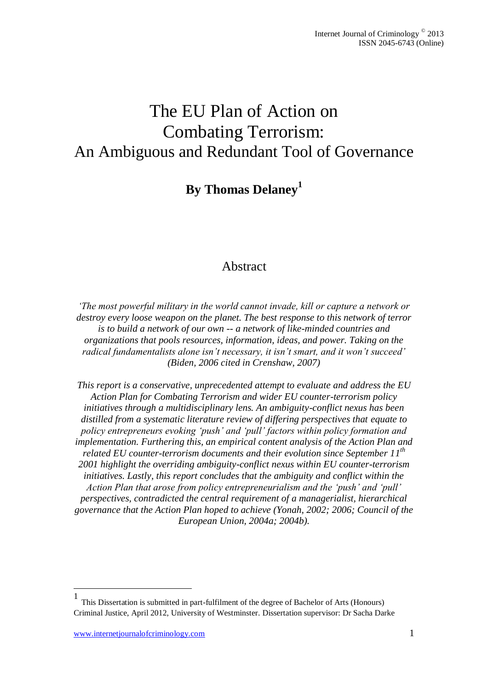# The EU Plan of Action on Combating Terrorism: An Ambiguous and Redundant Tool of Governance

**By Thomas Delaney<sup>1</sup>**

#### Abstract

*'The most powerful military in the world cannot invade, kill or capture a network or destroy every loose weapon on the planet. The best response to this network of terror is to build a network of our own -- a network of like-minded countries and organizations that pools resources, information, ideas, and power. Taking on the radical fundamentalists alone isn't necessary, it isn't smart, and it won't succeed' (Biden, 2006 cited in Crenshaw, 2007)*

*This report is a conservative, unprecedented attempt to evaluate and address the EU Action Plan for Combating Terrorism and wider EU counter-terrorism policy initiatives through a multidisciplinary lens. An ambiguity-conflict nexus has been distilled from a systematic literature review of differing perspectives that equate to policy entrepreneurs evoking 'push' and 'pull' factors within policy formation and implementation. Furthering this, an empirical content analysis of the Action Plan and related EU counter-terrorism documents and their evolution since September 11 th 2001 highlight the overriding ambiguity-conflict nexus within EU counter-terrorism initiatives. Lastly, this report concludes that the ambiguity and conflict within the Action Plan that arose from policy entrepreneurialism and the 'push' and 'pull' perspectives, contradicted the central requirement of a managerialist, hierarchical governance that the Action Plan hoped to achieve (Yonah, 2002; 2006; Council of the European Union, 2004a; 2004b).*

<u>.</u>

<sup>1</sup> This Dissertation is submitted in part-fulfilment of the degree of Bachelor of Arts (Honours) Criminal Justice, April 2012, University of Westminster. Dissertation supervisor: Dr Sacha Darke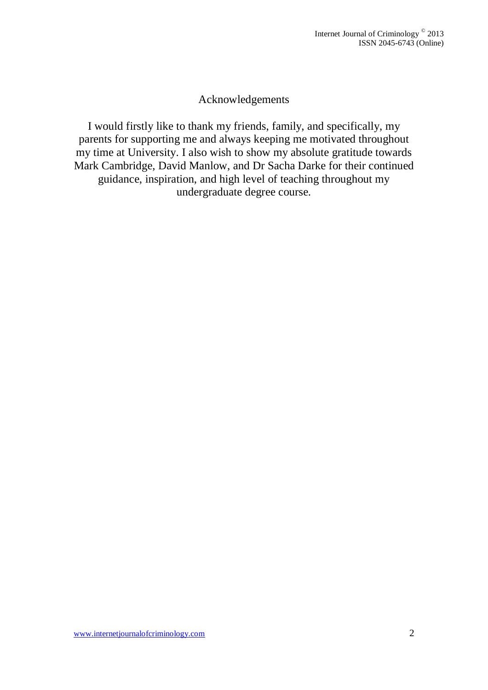#### Acknowledgements

I would firstly like to thank my friends, family, and specifically, my parents for supporting me and always keeping me motivated throughout my time at University. I also wish to show my absolute gratitude towards Mark Cambridge, David Manlow, and Dr Sacha Darke for their continued guidance, inspiration, and high level of teaching throughout my undergraduate degree course.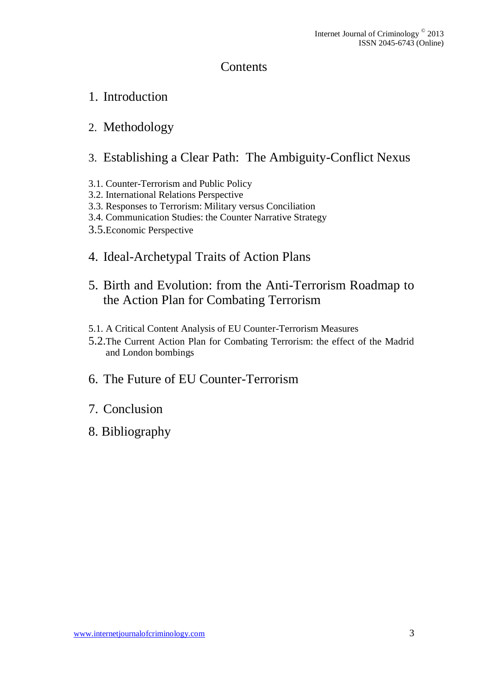# Contents

- 1. Introduction
- 2. Methodology
- 3. Establishing a Clear Path: The Ambiguity-Conflict Nexus
- 3.1. Counter-Terrorism and Public Policy
- 3.2. International Relations Perspective
- 3.3. Responses to Terrorism: Military versus Conciliation
- 3.4. Communication Studies: the Counter Narrative Strategy
- 3.5.Economic Perspective
- 4. Ideal-Archetypal Traits of Action Plans
- 5. Birth and Evolution: from the Anti-Terrorism Roadmap to the Action Plan for Combating Terrorism
- 5.1. A Critical Content Analysis of EU Counter-Terrorism Measures
- 5.2.The Current Action Plan for Combating Terrorism: the effect of the Madrid and London bombings
- 6. The Future of EU Counter-Terrorism
- 7. Conclusion
- 8. Bibliography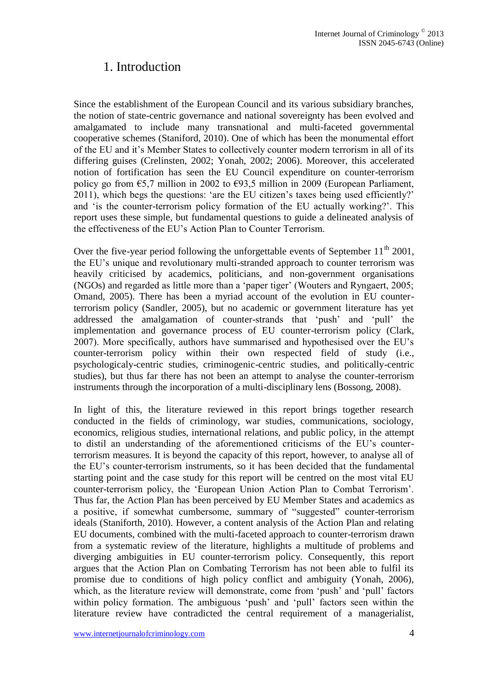## 1. Introduction

Since the establishment of the European Council and its various subsidiary branches, the notion of state-centric governance and national sovereignty has been evolved and amalgamated to include many transnational and multi-faceted governmental cooperative schemes (Staniford, 2010). One of which has been the monumental effort of the EU and it's Member States to collectively counter modern terrorism in all of its differing guises (Crelinsten, 2002; Yonah, 2002; 2006). Moreover, this accelerated notion of fortification has seen the EU Council expenditure on counter-terrorism policy go from  $\epsilon$ 5,7 million in 2002 to  $\epsilon$ 93,5 million in 2009 (European Parliament, 2011), which begs the questions: 'are the EU citizen's taxes being used efficiently?' and 'is the counter-terrorism policy formation of the EU actually working?'. This report uses these simple, but fundamental questions to guide a delineated analysis of the effectiveness of the EU's Action Plan to Counter Terrorism.

Over the five-year period following the unforgettable events of September  $11<sup>th</sup>$  2001, the EU's unique and revolutionary multi-stranded approach to counter terrorism was heavily criticised by academics, politicians, and non-government organisations (NGOs) and regarded as little more than a 'paper tiger' (Wouters and Ryngaert, 2005; Omand, 2005). There has been a myriad account of the evolution in EU counterterrorism policy (Sandler, 2005), but no academic or government literature has yet addressed the amalgamation of counter-strands that 'push' and 'pull' the implementation and governance process of EU counter-terrorism policy (Clark, 2007). More specifically, authors have summarised and hypothesised over the EU's counter-terrorism policy within their own respected field of study (i.e., psychologicaly-centric studies, criminogenic-centric studies, and politically-centric studies), but thus far there has not been an attempt to analyse the counter-terrorism instruments through the incorporation of a multi-disciplinary lens (Bossong, 2008).

In light of this, the literature reviewed in this report brings together research conducted in the fields of criminology, war studies, communications, sociology, economics, religious studies, international relations, and public policy, in the attempt to distil an understanding of the aforementioned criticisms of the EU's counterterrorism measures. It is beyond the capacity of this report, however, to analyse all of the EU's counter-terrorism instruments, so it has been decided that the fundamental starting point and the case study for this report will be centred on the most vital EU counter-terrorism policy, the 'European Union Action Plan to Combat Terrorism'. Thus far, the Action Plan has been perceived by EU Member States and academics as a positive, if somewhat cumbersome, summary of "suggested" counter-terrorism ideals (Staniforth, 2010). However, a content analysis of the Action Plan and relating EU documents, combined with the multi-faceted approach to counter-terrorism drawn from a systematic review of the literature, highlights a multitude of problems and diverging ambiguities in EU counter-terrorism policy. Consequently, this report argues that the Action Plan on Combating Terrorism has not been able to fulfil its promise due to conditions of high policy conflict and ambiguity (Yonah, 2006), which, as the literature review will demonstrate, come from 'push' and 'pull' factors within policy formation. The ambiguous 'push' and 'pull' factors seen within the literature review have contradicted the central requirement of a managerialist,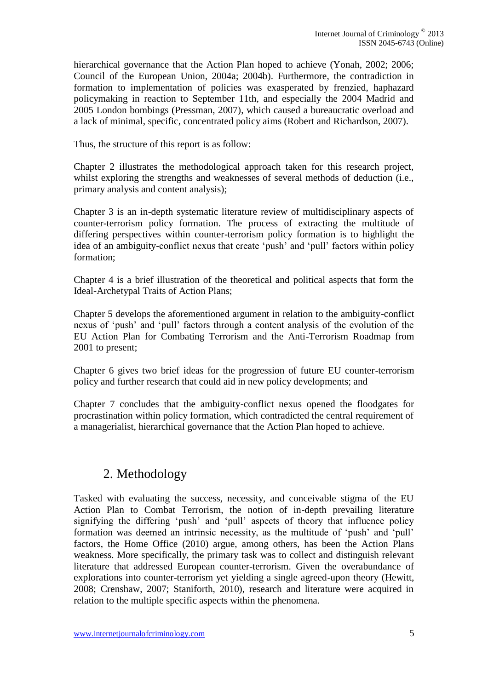hierarchical governance that the Action Plan hoped to achieve (Yonah, 2002; 2006; Council of the European Union, 2004a; 2004b). Furthermore, the contradiction in formation to implementation of policies was exasperated by frenzied, haphazard policymaking in reaction to September 11th, and especially the 2004 Madrid and 2005 London bombings (Pressman, 2007), which caused a bureaucratic overload and a lack of minimal, specific, concentrated policy aims (Robert and Richardson, 2007).

Thus, the structure of this report is as follow:

Chapter 2 illustrates the methodological approach taken for this research project, whilst exploring the strengths and weaknesses of several methods of deduction (i.e., primary analysis and content analysis);

Chapter 3 is an in-depth systematic literature review of multidisciplinary aspects of counter-terrorism policy formation. The process of extracting the multitude of differing perspectives within counter-terrorism policy formation is to highlight the idea of an ambiguity-conflict nexus that create 'push' and 'pull' factors within policy formation;

Chapter 4 is a brief illustration of the theoretical and political aspects that form the Ideal-Archetypal Traits of Action Plans;

Chapter 5 develops the aforementioned argument in relation to the ambiguity-conflict nexus of 'push' and 'pull' factors through a content analysis of the evolution of the EU Action Plan for Combating Terrorism and the Anti-Terrorism Roadmap from 2001 to present;

Chapter 6 gives two brief ideas for the progression of future EU counter-terrorism policy and further research that could aid in new policy developments; and

Chapter 7 concludes that the ambiguity-conflict nexus opened the floodgates for procrastination within policy formation, which contradicted the central requirement of a managerialist, hierarchical governance that the Action Plan hoped to achieve.

## 2. Methodology

Tasked with evaluating the success, necessity, and conceivable stigma of the EU Action Plan to Combat Terrorism, the notion of in-depth prevailing literature signifying the differing 'push' and 'pull' aspects of theory that influence policy formation was deemed an intrinsic necessity, as the multitude of 'push' and 'pull' factors, the Home Office (2010) argue, among others, has been the Action Plans weakness. More specifically, the primary task was to collect and distinguish relevant literature that addressed European counter-terrorism. Given the overabundance of explorations into counter-terrorism yet yielding a single agreed-upon theory (Hewitt, 2008; Crenshaw, 2007; Staniforth, 2010), research and literature were acquired in relation to the multiple specific aspects within the phenomena.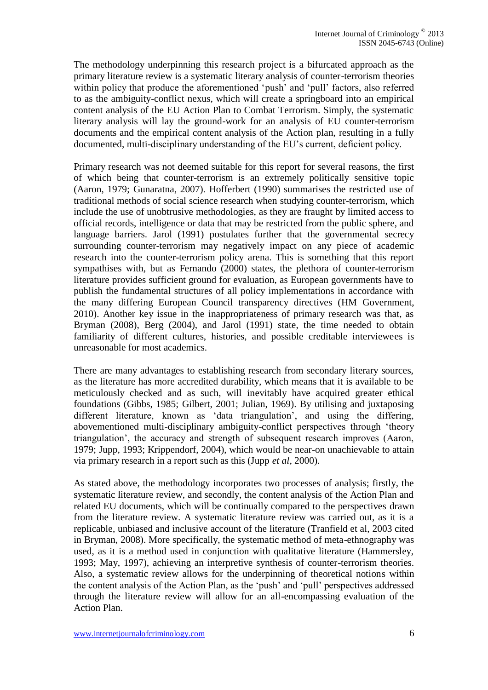The methodology underpinning this research project is a bifurcated approach as the primary literature review is a systematic literary analysis of counter-terrorism theories within policy that produce the aforementioned 'push' and 'pull' factors, also referred to as the ambiguity-conflict nexus, which will create a springboard into an empirical content analysis of the EU Action Plan to Combat Terrorism. Simply, the systematic literary analysis will lay the ground-work for an analysis of EU counter-terrorism documents and the empirical content analysis of the Action plan, resulting in a fully documented, multi-disciplinary understanding of the EU's current, deficient policy.

Primary research was not deemed suitable for this report for several reasons, the first of which being that counter-terrorism is an extremely politically sensitive topic (Aaron, 1979; Gunaratna, 2007). Hofferbert (1990) summarises the restricted use of traditional methods of social science research when studying counter-terrorism, which include the use of unobtrusive methodologies, as they are fraught by limited access to official records, intelligence or data that may be restricted from the public sphere, and language barriers. Jarol (1991) postulates further that the governmental secrecy surrounding counter-terrorism may negatively impact on any piece of academic research into the counter-terrorism policy arena. This is something that this report sympathises with, but as Fernando (2000) states, the plethora of counter-terrorism literature provides sufficient ground for evaluation, as European governments have to publish the fundamental structures of all policy implementations in accordance with the many differing European Council transparency directives (HM Government, 2010). Another key issue in the inappropriateness of primary research was that, as Bryman (2008), Berg (2004), and Jarol (1991) state, the time needed to obtain familiarity of different cultures, histories, and possible creditable interviewees is unreasonable for most academics.

There are many advantages to establishing research from secondary literary sources, as the literature has more accredited durability, which means that it is available to be meticulously checked and as such, will inevitably have acquired greater ethical foundations (Gibbs, 1985; Gilbert, 2001; Julian, 1969). By utilising and juxtaposing different literature, known as 'data triangulation', and using the differing, abovementioned multi-disciplinary ambiguity-conflict perspectives through 'theory triangulation', the accuracy and strength of subsequent research improves (Aaron, 1979; Jupp, 1993; Krippendorf, 2004), which would be near-on unachievable to attain via primary research in a report such as this (Jupp *et al*, 2000).

As stated above, the methodology incorporates two processes of analysis; firstly, the systematic literature review, and secondly, the content analysis of the Action Plan and related EU documents, which will be continually compared to the perspectives drawn from the literature review. A systematic literature review was carried out, as it is a replicable, unbiased and inclusive account of the literature (Tranfield et al, 2003 cited in Bryman, 2008). More specifically, the systematic method of meta-ethnography was used, as it is a method used in conjunction with qualitative literature (Hammersley, 1993; May, 1997), achieving an interpretive synthesis of counter-terrorism theories. Also, a systematic review allows for the underpinning of theoretical notions within the content analysis of the Action Plan, as the 'push' and 'pull' perspectives addressed through the literature review will allow for an all-encompassing evaluation of the Action Plan.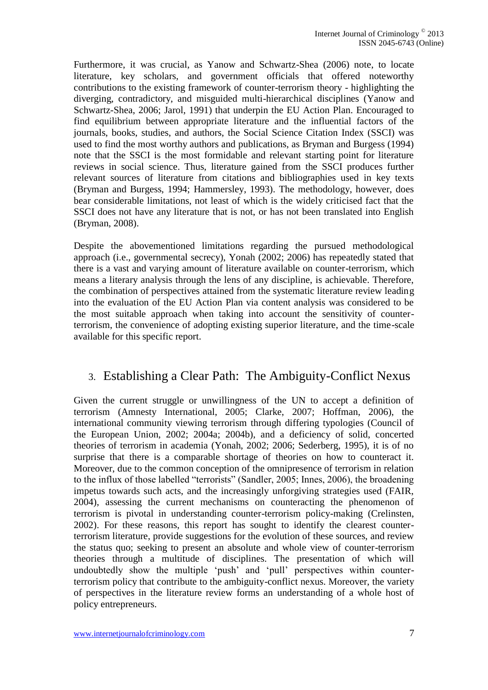Furthermore, it was crucial, as Yanow and Schwartz-Shea (2006) note, to locate literature, key scholars, and government officials that offered noteworthy contributions to the existing framework of counter-terrorism theory - highlighting the diverging, contradictory, and misguided multi-hierarchical disciplines (Yanow and Schwartz-Shea, 2006; Jarol, 1991) that underpin the EU Action Plan. Encouraged to find equilibrium between appropriate literature and the influential factors of the journals, books, studies, and authors, the Social Science Citation Index (SSCI) was used to find the most worthy authors and publications, as Bryman and Burgess (1994) note that the SSCI is the most formidable and relevant starting point for literature reviews in social science. Thus, literature gained from the SSCI produces further relevant sources of literature from citations and bibliographies used in key texts (Bryman and Burgess, 1994; Hammersley, 1993). The methodology, however, does bear considerable limitations, not least of which is the widely criticised fact that the SSCI does not have any literature that is not, or has not been translated into English (Bryman, 2008).

Despite the abovementioned limitations regarding the pursued methodological approach (i.e., governmental secrecy), Yonah (2002; 2006) has repeatedly stated that there is a vast and varying amount of literature available on counter-terrorism, which means a literary analysis through the lens of any discipline, is achievable. Therefore, the combination of perspectives attained from the systematic literature review leading into the evaluation of the EU Action Plan via content analysis was considered to be the most suitable approach when taking into account the sensitivity of counterterrorism, the convenience of adopting existing superior literature, and the time-scale available for this specific report.

#### 3. Establishing a Clear Path: The Ambiguity-Conflict Nexus

Given the current struggle or unwillingness of the UN to accept a definition of terrorism (Amnesty International, 2005; Clarke, 2007; Hoffman, 2006), the international community viewing terrorism through differing typologies (Council of the European Union, 2002; 2004a; 2004b), and a deficiency of solid, concerted theories of terrorism in academia (Yonah, 2002; 2006; Sederberg, 1995), it is of no surprise that there is a comparable shortage of theories on how to counteract it. Moreover, due to the common conception of the omnipresence of terrorism in relation to the influx of those labelled "terrorists" (Sandler, 2005; Innes, 2006), the broadening impetus towards such acts, and the increasingly unforgiving strategies used (FAIR, 2004), assessing the current mechanisms on counteracting the phenomenon of terrorism is pivotal in understanding counter-terrorism policy-making (Crelinsten, 2002). For these reasons, this report has sought to identify the clearest counterterrorism literature, provide suggestions for the evolution of these sources, and review the status quo; seeking to present an absolute and whole view of counter-terrorism theories through a multitude of disciplines. The presentation of which will undoubtedly show the multiple 'push' and 'pull' perspectives within counterterrorism policy that contribute to the ambiguity-conflict nexus. Moreover, the variety of perspectives in the literature review forms an understanding of a whole host of policy entrepreneurs.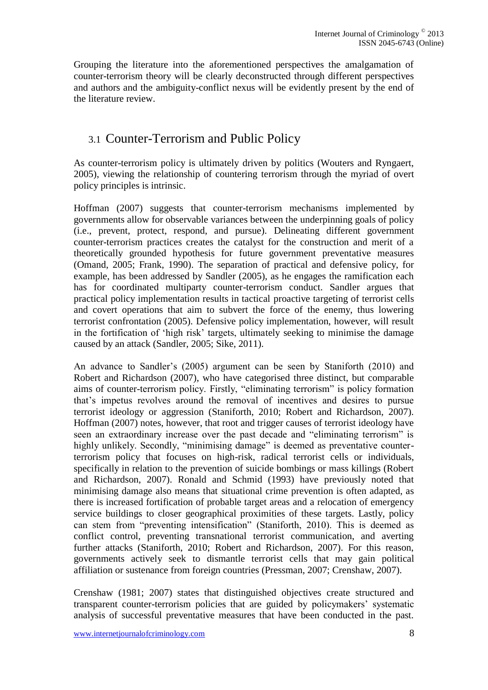Grouping the literature into the aforementioned perspectives the amalgamation of counter-terrorism theory will be clearly deconstructed through different perspectives and authors and the ambiguity-conflict nexus will be evidently present by the end of the literature review.

# 3.1 Counter-Terrorism and Public Policy

As counter-terrorism policy is ultimately driven by politics (Wouters and Ryngaert, 2005), viewing the relationship of countering terrorism through the myriad of overt policy principles is intrinsic.

Hoffman (2007) suggests that counter-terrorism mechanisms implemented by governments allow for observable variances between the underpinning goals of policy (i.e., prevent, protect, respond, and pursue). Delineating different government counter-terrorism practices creates the catalyst for the construction and merit of a theoretically grounded hypothesis for future government preventative measures (Omand, 2005; Frank, 1990). The separation of practical and defensive policy, for example, has been addressed by Sandler (2005), as he engages the ramification each has for coordinated multiparty counter-terrorism conduct. Sandler argues that practical policy implementation results in tactical proactive targeting of terrorist cells and covert operations that aim to subvert the force of the enemy, thus lowering terrorist confrontation (2005). Defensive policy implementation, however, will result in the fortification of 'high risk' targets, ultimately seeking to minimise the damage caused by an attack (Sandler, 2005; Sike, 2011).

An advance to Sandler's (2005) argument can be seen by Staniforth (2010) and Robert and Richardson (2007), who have categorised three distinct, but comparable aims of counter-terrorism policy. Firstly, "eliminating terrorism" is policy formation that's impetus revolves around the removal of incentives and desires to pursue terrorist ideology or aggression (Staniforth, 2010; Robert and Richardson, 2007). Hoffman (2007) notes, however, that root and trigger causes of terrorist ideology have seen an extraordinary increase over the past decade and "eliminating terrorism" is highly unlikely. Secondly, "minimising damage" is deemed as preventative counterterrorism policy that focuses on high-risk, radical terrorist cells or individuals, specifically in relation to the prevention of suicide bombings or mass killings (Robert and Richardson, 2007). Ronald and Schmid (1993) have previously noted that minimising damage also means that situational crime prevention is often adapted, as there is increased fortification of probable target areas and a relocation of emergency service buildings to closer geographical proximities of these targets. Lastly, policy can stem from "preventing intensification" (Staniforth, 2010). This is deemed as conflict control, preventing transnational terrorist communication, and averting further attacks (Staniforth, 2010; Robert and Richardson, 2007). For this reason, governments actively seek to dismantle terrorist cells that may gain political affiliation or sustenance from foreign countries (Pressman, 2007; Crenshaw, 2007).

Crenshaw (1981; 2007) states that distinguished objectives create structured and transparent counter-terrorism policies that are guided by policymakers' systematic analysis of successful preventative measures that have been conducted in the past.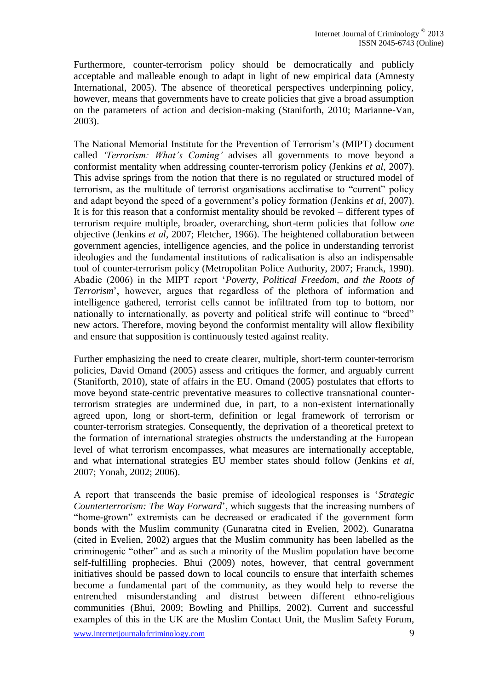Furthermore, counter-terrorism policy should be democratically and publicly acceptable and malleable enough to adapt in light of new empirical data (Amnesty International, 2005). The absence of theoretical perspectives underpinning policy, however, means that governments have to create policies that give a broad assumption on the parameters of action and decision-making (Staniforth, 2010; Marianne-Van, 2003).

The National Memorial Institute for the Prevention of Terrorism's (MIPT) document called *'Terrorism: What's Coming'* advises all governments to move beyond a conformist mentality when addressing counter-terrorism policy (Jenkins *et al*, 2007). This advise springs from the notion that there is no regulated or structured model of terrorism, as the multitude of terrorist organisations acclimatise to "current" policy and adapt beyond the speed of a government's policy formation (Jenkins *et al*, 2007). It is for this reason that a conformist mentality should be revoked – different types of terrorism require multiple, broader, overarching, short-term policies that follow *one* objective (Jenkins *et al*, 2007; Fletcher, 1966). The heightened collaboration between government agencies, intelligence agencies, and the police in understanding terrorist ideologies and the fundamental institutions of radicalisation is also an indispensable tool of counter-terrorism policy (Metropolitan Police Authority, 2007; Franck, 1990). Abadie (2006) in the MIPT report '*Poverty, Political Freedom, and the Roots of Terrorism*', however, argues that regardless of the plethora of information and intelligence gathered, terrorist cells cannot be infiltrated from top to bottom, nor nationally to internationally, as poverty and political strife will continue to "breed" new actors. Therefore, moving beyond the conformist mentality will allow flexibility and ensure that supposition is continuously tested against reality.

Further emphasizing the need to create clearer, multiple, short-term counter-terrorism policies, David Omand (2005) assess and critiques the former, and arguably current (Staniforth, 2010), state of affairs in the EU. Omand (2005) postulates that efforts to move beyond state-centric preventative measures to collective transnational counterterrorism strategies are undermined due, in part, to a non-existent internationally agreed upon, long or short-term, definition or legal framework of terrorism or counter-terrorism strategies. Consequently, the deprivation of a theoretical pretext to the formation of international strategies obstructs the understanding at the European level of what terrorism encompasses, what measures are internationally acceptable, and what international strategies EU member states should follow (Jenkins *et al*, 2007; Yonah, 2002; 2006).

A report that transcends the basic premise of ideological responses is '*Strategic Counterterrorism: The Way Forward*', which suggests that the increasing numbers of "home-grown" extremists can be decreased or eradicated if the government form bonds with the Muslim community (Gunaratna cited in Evelien, 2002). Gunaratna (cited in Evelien, 2002) argues that the Muslim community has been labelled as the criminogenic "other" and as such a minority of the Muslim population have become self-fulfilling prophecies. Bhui (2009) notes, however, that central government initiatives should be passed down to local councils to ensure that interfaith schemes become a fundamental part of the community, as they would help to reverse the entrenched misunderstanding and distrust between different ethno-religious communities (Bhui, 2009; Bowling and Phillips, 2002). Current and successful examples of this in the UK are the Muslim Contact Unit, the Muslim Safety Forum,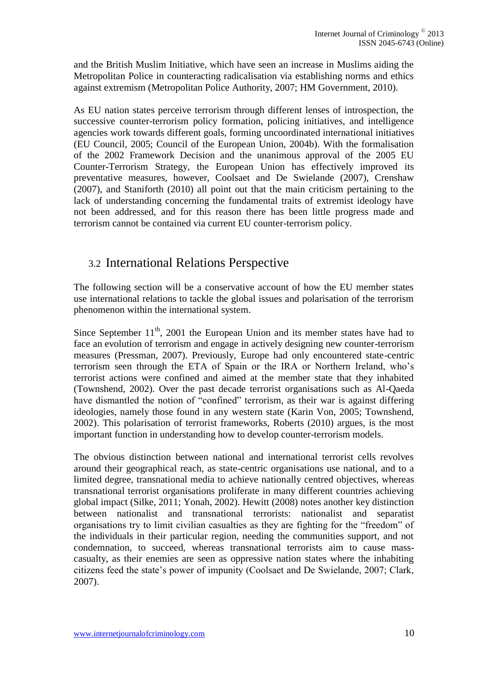and the British Muslim Initiative, which have seen an increase in Muslims aiding the Metropolitan Police in counteracting radicalisation via establishing norms and ethics against extremism (Metropolitan Police Authority, 2007; HM Government, 2010).

As EU nation states perceive terrorism through different lenses of introspection, the successive counter-terrorism policy formation, policing initiatives, and intelligence agencies work towards different goals, forming uncoordinated international initiatives (EU Council, 2005; Council of the European Union, 2004b). With the formalisation of the 2002 Framework Decision and the unanimous approval of the 2005 EU Counter-Terrorism Strategy, the European Union has effectively improved its preventative measures, however, Coolsaet and De Swielande (2007), Crenshaw (2007), and Staniforth (2010) all point out that the main criticism pertaining to the lack of understanding concerning the fundamental traits of extremist ideology have not been addressed, and for this reason there has been little progress made and terrorism cannot be contained via current EU counter-terrorism policy.

#### 3.2 International Relations Perspective

The following section will be a conservative account of how the EU member states use international relations to tackle the global issues and polarisation of the terrorism phenomenon within the international system.

Since September  $11<sup>th</sup>$ , 2001 the European Union and its member states have had to face an evolution of terrorism and engage in actively designing new counter-terrorism measures (Pressman, 2007). Previously, Europe had only encountered state-centric terrorism seen through the ETA of Spain or the IRA or Northern Ireland, who's terrorist actions were confined and aimed at the member state that they inhabited (Townshend, 2002). Over the past decade terrorist organisations such as Al-Qaeda have dismantled the notion of "confined" terrorism, as their war is against differing ideologies, namely those found in any western state (Karin Von, 2005; Townshend, 2002). This polarisation of terrorist frameworks, Roberts (2010) argues, is the most important function in understanding how to develop counter-terrorism models.

The obvious distinction between national and international terrorist cells revolves around their geographical reach, as state-centric organisations use national, and to a limited degree, transnational media to achieve nationally centred objectives, whereas transnational terrorist organisations proliferate in many different countries achieving global impact (Silke, 2011; Yonah, 2002). Hewitt (2008) notes another key distinction between nationalist and transnational terrorists: nationalist and separatist organisations try to limit civilian casualties as they are fighting for the "freedom" of the individuals in their particular region, needing the communities support, and not condemnation, to succeed, whereas transnational terrorists aim to cause masscasualty, as their enemies are seen as oppressive nation states where the inhabiting citizens feed the state's power of impunity (Coolsaet and De Swielande, 2007; Clark, 2007).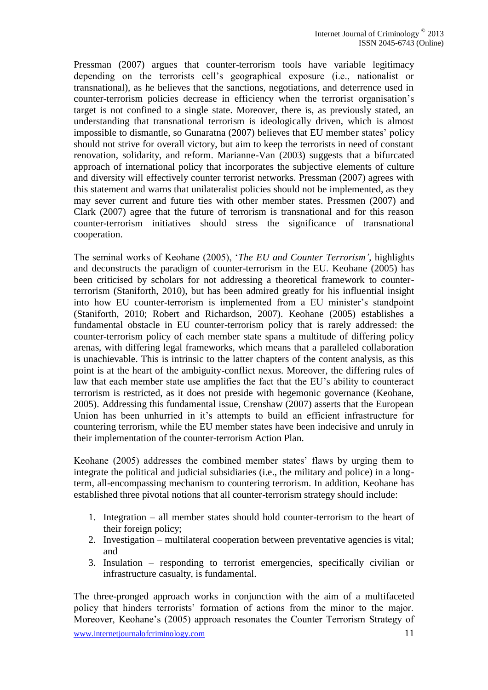Pressman (2007) argues that counter-terrorism tools have variable legitimacy depending on the terrorists cell's geographical exposure (i.e., nationalist or transnational), as he believes that the sanctions, negotiations, and deterrence used in counter-terrorism policies decrease in efficiency when the terrorist organisation's target is not confined to a single state. Moreover, there is, as previously stated, an understanding that transnational terrorism is ideologically driven, which is almost impossible to dismantle, so Gunaratna (2007) believes that EU member states' policy should not strive for overall victory, but aim to keep the terrorists in need of constant renovation, solidarity, and reform. Marianne-Van (2003) suggests that a bifurcated approach of international policy that incorporates the subjective elements of culture and diversity will effectively counter terrorist networks. Pressman (2007) agrees with this statement and warns that unilateralist policies should not be implemented, as they may sever current and future ties with other member states. Pressmen (2007) and Clark (2007) agree that the future of terrorism is transnational and for this reason counter-terrorism initiatives should stress the significance of transnational cooperation.

The seminal works of Keohane (2005), '*The EU and Counter Terrorism'*, highlights and deconstructs the paradigm of counter-terrorism in the EU. Keohane (2005) has been criticised by scholars for not addressing a theoretical framework to counterterrorism (Staniforth, 2010), but has been admired greatly for his influential insight into how EU counter-terrorism is implemented from a EU minister's standpoint (Staniforth, 2010; Robert and Richardson, 2007). Keohane (2005) establishes a fundamental obstacle in EU counter-terrorism policy that is rarely addressed: the counter-terrorism policy of each member state spans a multitude of differing policy arenas, with differing legal frameworks, which means that a paralleled collaboration is unachievable. This is intrinsic to the latter chapters of the content analysis, as this point is at the heart of the ambiguity-conflict nexus. Moreover, the differing rules of law that each member state use amplifies the fact that the EU's ability to counteract terrorism is restricted, as it does not preside with hegemonic governance (Keohane, 2005). Addressing this fundamental issue, Crenshaw (2007) asserts that the European Union has been unhurried in it's attempts to build an efficient infrastructure for countering terrorism, while the EU member states have been indecisive and unruly in their implementation of the counter-terrorism Action Plan.

Keohane (2005) addresses the combined member states' flaws by urging them to integrate the political and judicial subsidiaries (i.e., the military and police) in a longterm, all-encompassing mechanism to countering terrorism. In addition, Keohane has established three pivotal notions that all counter-terrorism strategy should include:

- 1. Integration all member states should hold counter-terrorism to the heart of their foreign policy;
- 2. Investigation multilateral cooperation between preventative agencies is vital; and
- 3. Insulation responding to terrorist emergencies, specifically civilian or infrastructure casualty, is fundamental.

The three-pronged approach works in conjunction with the aim of a multifaceted policy that hinders terrorists' formation of actions from the minor to the major. Moreover, Keohane's (2005) approach resonates the Counter Terrorism Strategy of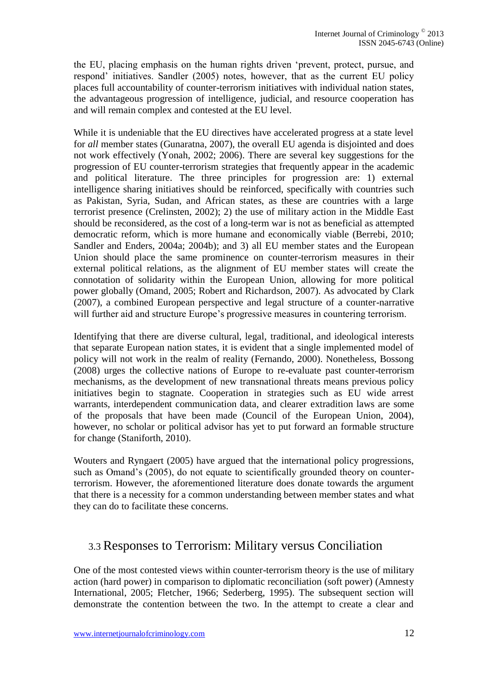the EU, placing emphasis on the human rights driven 'prevent, protect, pursue, and respond' initiatives. Sandler (2005) notes, however, that as the current EU policy places full accountability of counter-terrorism initiatives with individual nation states, the advantageous progression of intelligence, judicial, and resource cooperation has and will remain complex and contested at the EU level.

While it is undeniable that the EU directives have accelerated progress at a state level for *all* member states (Gunaratna, 2007), the overall EU agenda is disjointed and does not work effectively (Yonah, 2002; 2006). There are several key suggestions for the progression of EU counter-terrorism strategies that frequently appear in the academic and political literature. The three principles for progression are: 1) external intelligence sharing initiatives should be reinforced, specifically with countries such as Pakistan, Syria, Sudan, and African states, as these are countries with a large terrorist presence (Crelinsten, 2002); 2) the use of military action in the Middle East should be reconsidered, as the cost of a long-term war is not as beneficial as attempted democratic reform, which is more humane and economically viable (Berrebi, 2010; Sandler and Enders, 2004a; 2004b); and 3) all EU member states and the European Union should place the same prominence on counter-terrorism measures in their external political relations, as the alignment of EU member states will create the connotation of solidarity within the European Union, allowing for more political power globally (Omand, 2005; Robert and Richardson, 2007). As advocated by Clark (2007), a combined European perspective and legal structure of a counter-narrative will further aid and structure Europe's progressive measures in countering terrorism.

Identifying that there are diverse cultural, legal, traditional, and ideological interests that separate European nation states, it is evident that a single implemented model of policy will not work in the realm of reality (Fernando, 2000). Nonetheless, Bossong (2008) urges the collective nations of Europe to re-evaluate past counter-terrorism mechanisms, as the development of new transnational threats means previous policy initiatives begin to stagnate. Cooperation in strategies such as EU wide arrest warrants, interdependent communication data, and clearer extradition laws are some of the proposals that have been made (Council of the European Union, 2004), however, no scholar or political advisor has yet to put forward an formable structure for change (Staniforth, 2010).

Wouters and Ryngaert (2005) have argued that the international policy progressions, such as Omand's (2005), do not equate to scientifically grounded theory on counterterrorism. However, the aforementioned literature does donate towards the argument that there is a necessity for a common understanding between member states and what they can do to facilitate these concerns.

## 3.3 Responses to Terrorism: Military versus Conciliation

One of the most contested views within counter-terrorism theory is the use of military action (hard power) in comparison to diplomatic reconciliation (soft power) (Amnesty International, 2005; Fletcher, 1966; Sederberg, 1995). The subsequent section will demonstrate the contention between the two. In the attempt to create a clear and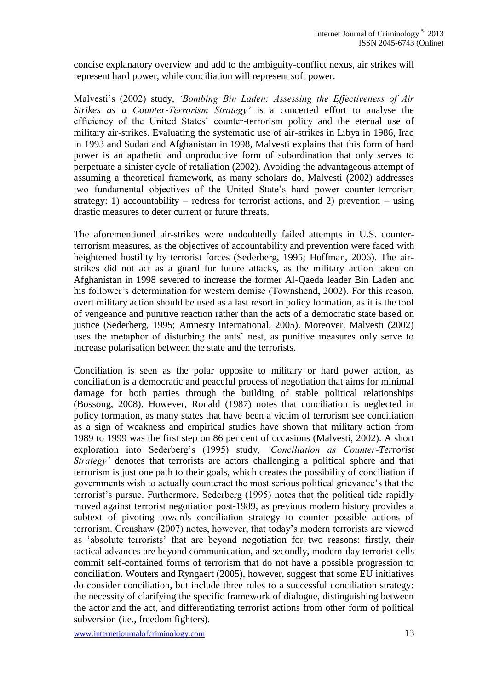concise explanatory overview and add to the ambiguity-conflict nexus, air strikes will represent hard power, while conciliation will represent soft power.

Malvesti's (2002) study, *'Bombing Bin Laden: Assessing the Effectiveness of Air Strikes as a Counter-Terrorism Strategy'* is a concerted effort to analyse the efficiency of the United States' counter-terrorism policy and the eternal use of military air-strikes. Evaluating the systematic use of air-strikes in Libya in 1986, Iraq in 1993 and Sudan and Afghanistan in 1998, Malvesti explains that this form of hard power is an apathetic and unproductive form of subordination that only serves to perpetuate a sinister cycle of retaliation (2002). Avoiding the advantageous attempt of assuming a theoretical framework, as many scholars do, Malvesti (2002) addresses two fundamental objectives of the United State's hard power counter-terrorism strategy: 1) accountability – redress for terrorist actions, and 2) prevention – using drastic measures to deter current or future threats.

The aforementioned air-strikes were undoubtedly failed attempts in U.S. counterterrorism measures, as the objectives of accountability and prevention were faced with heightened hostility by terrorist forces (Sederberg, 1995; Hoffman, 2006). The airstrikes did not act as a guard for future attacks, as the military action taken on Afghanistan in 1998 severed to increase the former Al-Qaeda leader Bin Laden and his follower's determination for western demise (Townshend, 2002). For this reason, overt military action should be used as a last resort in policy formation, as it is the tool of vengeance and punitive reaction rather than the acts of a democratic state based on justice (Sederberg, 1995; Amnesty International, 2005). Moreover, Malvesti (2002) uses the metaphor of disturbing the ants' nest, as punitive measures only serve to increase polarisation between the state and the terrorists.

Conciliation is seen as the polar opposite to military or hard power action, as conciliation is a democratic and peaceful process of negotiation that aims for minimal damage for both parties through the building of stable political relationships (Bossong, 2008). However, Ronald (1987) notes that conciliation is neglected in policy formation, as many states that have been a victim of terrorism see conciliation as a sign of weakness and empirical studies have shown that military action from 1989 to 1999 was the first step on 86 per cent of occasions (Malvesti, 2002). A short exploration into Sederberg's (1995) study, *'Conciliation as Counter-Terrorist Strategy'* denotes that terrorists are actors challenging a political sphere and that terrorism is just one path to their goals, which creates the possibility of conciliation if governments wish to actually counteract the most serious political grievance's that the terrorist's pursue. Furthermore, Sederberg (1995) notes that the political tide rapidly moved against terrorist negotiation post-1989, as previous modern history provides a subtext of pivoting towards conciliation strategy to counter possible actions of terrorism. Crenshaw (2007) notes, however, that today's modern terrorists are viewed as 'absolute terrorists' that are beyond negotiation for two reasons: firstly, their tactical advances are beyond communication, and secondly, modern-day terrorist cells commit self-contained forms of terrorism that do not have a possible progression to conciliation. Wouters and Ryngaert (2005), however, suggest that some EU initiatives do consider conciliation, but include three rules to a successful conciliation strategy: the necessity of clarifying the specific framework of dialogue, distinguishing between the actor and the act, and differentiating terrorist actions from other form of political subversion (i.e., freedom fighters).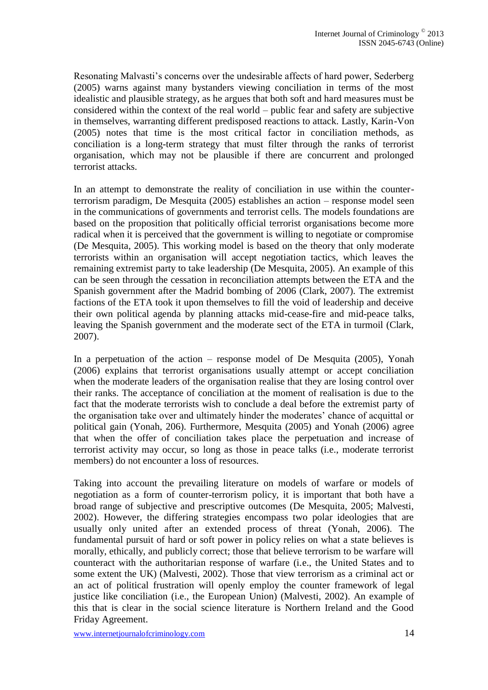Resonating Malvasti's concerns over the undesirable affects of hard power, Sederberg (2005) warns against many bystanders viewing conciliation in terms of the most idealistic and plausible strategy, as he argues that both soft and hard measures must be considered within the context of the real world – public fear and safety are subjective in themselves, warranting different predisposed reactions to attack. Lastly, Karin-Von (2005) notes that time is the most critical factor in conciliation methods, as conciliation is a long-term strategy that must filter through the ranks of terrorist organisation, which may not be plausible if there are concurrent and prolonged terrorist attacks.

In an attempt to demonstrate the reality of conciliation in use within the counterterrorism paradigm, De Mesquita (2005) establishes an action – response model seen in the communications of governments and terrorist cells. The models foundations are based on the proposition that politically official terrorist organisations become more radical when it is perceived that the government is willing to negotiate or compromise (De Mesquita, 2005). This working model is based on the theory that only moderate terrorists within an organisation will accept negotiation tactics, which leaves the remaining extremist party to take leadership (De Mesquita, 2005). An example of this can be seen through the cessation in reconciliation attempts between the ETA and the Spanish government after the Madrid bombing of 2006 (Clark, 2007). The extremist factions of the ETA took it upon themselves to fill the void of leadership and deceive their own political agenda by planning attacks mid-cease-fire and mid-peace talks, leaving the Spanish government and the moderate sect of the ETA in turmoil (Clark, 2007).

In a perpetuation of the action – response model of De Mesquita  $(2005)$ , Yonah (2006) explains that terrorist organisations usually attempt or accept conciliation when the moderate leaders of the organisation realise that they are losing control over their ranks. The acceptance of conciliation at the moment of realisation is due to the fact that the moderate terrorists wish to conclude a deal before the extremist party of the organisation take over and ultimately hinder the moderates' chance of acquittal or political gain (Yonah, 206). Furthermore, Mesquita (2005) and Yonah (2006) agree that when the offer of conciliation takes place the perpetuation and increase of terrorist activity may occur, so long as those in peace talks (i.e., moderate terrorist members) do not encounter a loss of resources.

Taking into account the prevailing literature on models of warfare or models of negotiation as a form of counter-terrorism policy, it is important that both have a broad range of subjective and prescriptive outcomes (De Mesquita, 2005; Malvesti, 2002). However, the differing strategies encompass two polar ideologies that are usually only united after an extended process of threat (Yonah, 2006). The fundamental pursuit of hard or soft power in policy relies on what a state believes is morally, ethically, and publicly correct; those that believe terrorism to be warfare will counteract with the authoritarian response of warfare (i.e., the United States and to some extent the UK) (Malvesti, 2002). Those that view terrorism as a criminal act or an act of political frustration will openly employ the counter framework of legal justice like conciliation (i.e., the European Union) (Malvesti, 2002). An example of this that is clear in the social science literature is Northern Ireland and the Good Friday Agreement.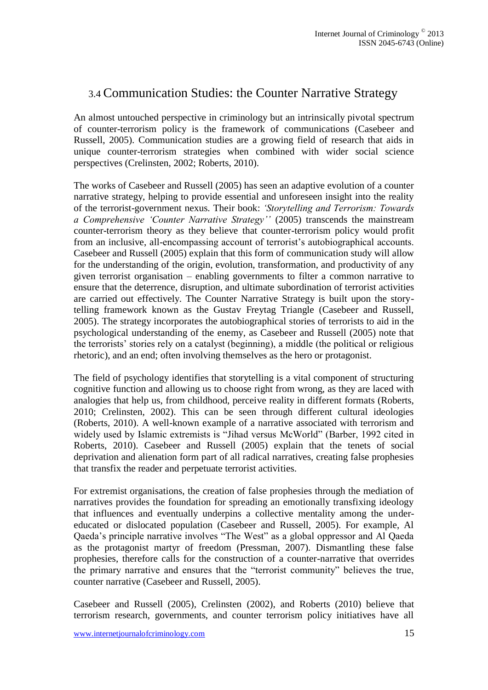## 3.4 Communication Studies: the Counter Narrative Strategy

An almost untouched perspective in criminology but an intrinsically pivotal spectrum of counter-terrorism policy is the framework of communications (Casebeer and Russell, 2005). Communication studies are a growing field of research that aids in unique counter-terrorism strategies when combined with wider social science perspectives (Crelinsten, 2002; Roberts, 2010).

The works of Casebeer and Russell (2005) has seen an adaptive evolution of a counter narrative strategy, helping to provide essential and unforeseen insight into the reality of the terrorist-government nexus. Their book: *'Storytelling and Terrorism: Towards a Comprehensive 'Counter Narrative Strategy''* (2005) transcends the mainstream counter-terrorism theory as they believe that counter-terrorism policy would profit from an inclusive, all-encompassing account of terrorist's autobiographical accounts. Casebeer and Russell (2005) explain that this form of communication study will allow for the understanding of the origin, evolution, transformation, and productivity of any given terrorist organisation – enabling governments to filter a common narrative to ensure that the deterrence, disruption, and ultimate subordination of terrorist activities are carried out effectively. The Counter Narrative Strategy is built upon the storytelling framework known as the Gustav Freytag Triangle (Casebeer and Russell, 2005). The strategy incorporates the autobiographical stories of terrorists to aid in the psychological understanding of the enemy, as Casebeer and Russell (2005) note that the terrorists' stories rely on a catalyst (beginning), a middle (the political or religious rhetoric), and an end; often involving themselves as the hero or protagonist.

The field of psychology identifies that storytelling is a vital component of structuring cognitive function and allowing us to choose right from wrong, as they are laced with analogies that help us, from childhood, perceive reality in different formats (Roberts, 2010; Crelinsten, 2002). This can be seen through different cultural ideologies (Roberts, 2010). A well-known example of a narrative associated with terrorism and widely used by Islamic extremists is "Jihad versus McWorld" (Barber, 1992 cited in Roberts, 2010). Casebeer and Russell (2005) explain that the tenets of social deprivation and alienation form part of all radical narratives, creating false prophesies that transfix the reader and perpetuate terrorist activities.

For extremist organisations, the creation of false prophesies through the mediation of narratives provides the foundation for spreading an emotionally transfixing ideology that influences and eventually underpins a collective mentality among the undereducated or dislocated population (Casebeer and Russell, 2005). For example, Al Qaeda's principle narrative involves "The West" as a global oppressor and Al Qaeda as the protagonist martyr of freedom (Pressman, 2007). Dismantling these false prophesies, therefore calls for the construction of a counter-narrative that overrides the primary narrative and ensures that the "terrorist community" believes the true, counter narrative (Casebeer and Russell, 2005).

Casebeer and Russell (2005), Crelinsten (2002), and Roberts (2010) believe that terrorism research, governments, and counter terrorism policy initiatives have all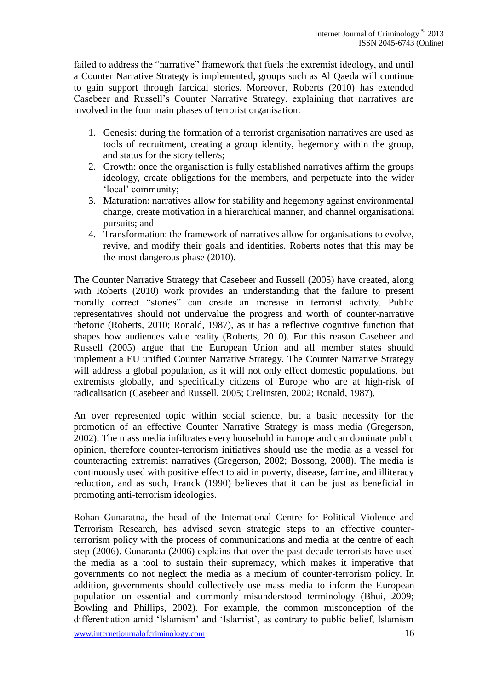failed to address the "narrative" framework that fuels the extremist ideology, and until a Counter Narrative Strategy is implemented, groups such as Al Qaeda will continue to gain support through farcical stories. Moreover, Roberts (2010) has extended Casebeer and Russell's Counter Narrative Strategy, explaining that narratives are involved in the four main phases of terrorist organisation:

- 1. Genesis: during the formation of a terrorist organisation narratives are used as tools of recruitment, creating a group identity, hegemony within the group, and status for the story teller/s;
- 2. Growth: once the organisation is fully established narratives affirm the groups ideology, create obligations for the members, and perpetuate into the wider 'local' community;
- 3. Maturation: narratives allow for stability and hegemony against environmental change, create motivation in a hierarchical manner, and channel organisational pursuits; and
- 4. Transformation: the framework of narratives allow for organisations to evolve, revive, and modify their goals and identities. Roberts notes that this may be the most dangerous phase (2010).

The Counter Narrative Strategy that Casebeer and Russell (2005) have created, along with Roberts (2010) work provides an understanding that the failure to present morally correct "stories" can create an increase in terrorist activity. Public representatives should not undervalue the progress and worth of counter-narrative rhetoric (Roberts, 2010; Ronald, 1987), as it has a reflective cognitive function that shapes how audiences value reality (Roberts, 2010). For this reason Casebeer and Russell (2005) argue that the European Union and all member states should implement a EU unified Counter Narrative Strategy. The Counter Narrative Strategy will address a global population, as it will not only effect domestic populations, but extremists globally, and specifically citizens of Europe who are at high-risk of radicalisation (Casebeer and Russell, 2005; Crelinsten, 2002; Ronald, 1987).

An over represented topic within social science, but a basic necessity for the promotion of an effective Counter Narrative Strategy is mass media (Gregerson, 2002). The mass media infiltrates every household in Europe and can dominate public opinion, therefore counter-terrorism initiatives should use the media as a vessel for counteracting extremist narratives (Gregerson, 2002; Bossong, 2008). The media is continuously used with positive effect to aid in poverty, disease, famine, and illiteracy reduction, and as such, Franck (1990) believes that it can be just as beneficial in promoting anti-terrorism ideologies.

Rohan Gunaratna, the head of the International Centre for Political Violence and Terrorism Research, has advised seven strategic steps to an effective counterterrorism policy with the process of communications and media at the centre of each step (2006). Gunaranta (2006) explains that over the past decade terrorists have used the media as a tool to sustain their supremacy, which makes it imperative that governments do not neglect the media as a medium of counter-terrorism policy. In addition, governments should collectively use mass media to inform the European population on essential and commonly misunderstood terminology (Bhui, 2009; Bowling and Phillips, 2002). For example, the common misconception of the differentiation amid 'Islamism' and 'Islamist', as contrary to public belief, Islamism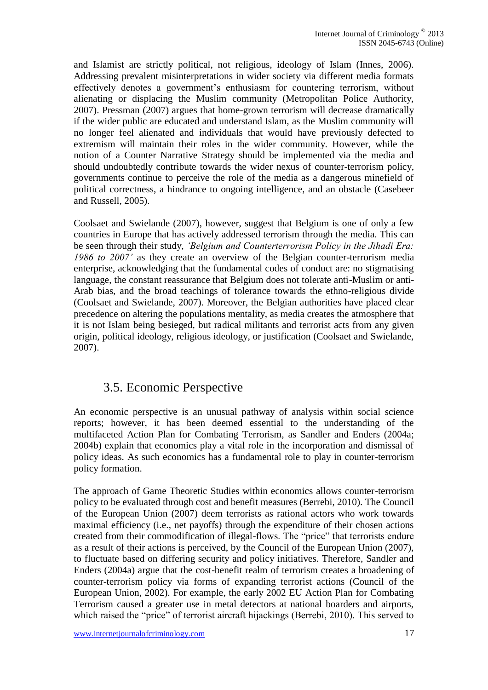and Islamist are strictly political, not religious, ideology of Islam (Innes, 2006). Addressing prevalent misinterpretations in wider society via different media formats effectively denotes a government's enthusiasm for countering terrorism, without alienating or displacing the Muslim community (Metropolitan Police Authority, 2007). Pressman (2007) argues that home-grown terrorism will decrease dramatically if the wider public are educated and understand Islam, as the Muslim community will no longer feel alienated and individuals that would have previously defected to extremism will maintain their roles in the wider community. However, while the notion of a Counter Narrative Strategy should be implemented via the media and should undoubtedly contribute towards the wider nexus of counter-terrorism policy, governments continue to perceive the role of the media as a dangerous minefield of political correctness, a hindrance to ongoing intelligence, and an obstacle (Casebeer and Russell, 2005).

Coolsaet and Swielande (2007), however, suggest that Belgium is one of only a few countries in Europe that has actively addressed terrorism through the media. This can be seen through their study, *'Belgium and Counterterrorism Policy in the Jihadi Era: 1986 to 2007'* as they create an overview of the Belgian counter-terrorism media enterprise, acknowledging that the fundamental codes of conduct are: no stigmatising language, the constant reassurance that Belgium does not tolerate anti-Muslim or anti-Arab bias, and the broad teachings of tolerance towards the ethno-religious divide (Coolsaet and Swielande, 2007). Moreover, the Belgian authorities have placed clear precedence on altering the populations mentality, as media creates the atmosphere that it is not Islam being besieged, but radical militants and terrorist acts from any given origin, political ideology, religious ideology, or justification (Coolsaet and Swielande, 2007).

## 3.5. Economic Perspective

An economic perspective is an unusual pathway of analysis within social science reports; however, it has been deemed essential to the understanding of the multifaceted Action Plan for Combating Terrorism, as Sandler and Enders (2004a; 2004b) explain that economics play a vital role in the incorporation and dismissal of policy ideas. As such economics has a fundamental role to play in counter-terrorism policy formation.

The approach of Game Theoretic Studies within economics allows counter-terrorism policy to be evaluated through cost and benefit measures (Berrebi, 2010). The Council of the European Union (2007) deem terrorists as rational actors who work towards maximal efficiency (i.e., net payoffs) through the expenditure of their chosen actions created from their commodification of illegal-flows. The "price" that terrorists endure as a result of their actions is perceived, by the Council of the European Union (2007), to fluctuate based on differing security and policy initiatives. Therefore, Sandler and Enders (2004a) argue that the cost-benefit realm of terrorism creates a broadening of counter-terrorism policy via forms of expanding terrorist actions (Council of the European Union, 2002). For example, the early 2002 EU Action Plan for Combating Terrorism caused a greater use in metal detectors at national boarders and airports, which raised the "price" of terrorist aircraft hijackings (Berrebi, 2010). This served to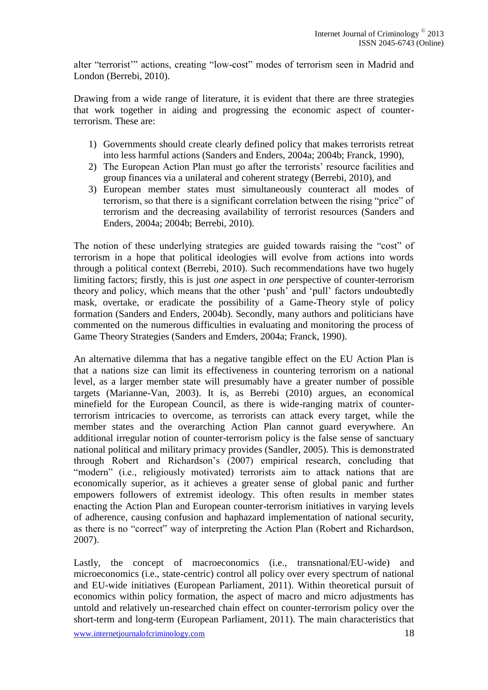alter "terrorist'" actions, creating "low-cost" modes of terrorism seen in Madrid and London (Berrebi, 2010).

Drawing from a wide range of literature, it is evident that there are three strategies that work together in aiding and progressing the economic aspect of counterterrorism. These are:

- 1) Governments should create clearly defined policy that makes terrorists retreat into less harmful actions (Sanders and Enders, 2004a; 2004b; Franck, 1990),
- 2) The European Action Plan must go after the terrorists' resource facilities and group finances via a unilateral and coherent strategy (Berrebi, 2010), and
- 3) European member states must simultaneously counteract all modes of terrorism, so that there is a significant correlation between the rising "price" of terrorism and the decreasing availability of terrorist resources (Sanders and Enders, 2004a; 2004b; Berrebi, 2010).

The notion of these underlying strategies are guided towards raising the "cost" of terrorism in a hope that political ideologies will evolve from actions into words through a political context (Berrebi, 2010). Such recommendations have two hugely limiting factors; firstly, this is just *one* aspect in *one* perspective of counter-terrorism theory and policy, which means that the other 'push' and 'pull' factors undoubtedly mask, overtake, or eradicate the possibility of a Game-Theory style of policy formation (Sanders and Enders, 2004b). Secondly, many authors and politicians have commented on the numerous difficulties in evaluating and monitoring the process of Game Theory Strategies (Sanders and Emders, 2004a; Franck, 1990).

An alternative dilemma that has a negative tangible effect on the EU Action Plan is that a nations size can limit its effectiveness in countering terrorism on a national level, as a larger member state will presumably have a greater number of possible targets (Marianne-Van, 2003). It is, as Berrebi (2010) argues, an economical minefield for the European Council, as there is wide-ranging matrix of counterterrorism intricacies to overcome, as terrorists can attack every target, while the member states and the overarching Action Plan cannot guard everywhere. An additional irregular notion of counter-terrorism policy is the false sense of sanctuary national political and military primacy provides (Sandler, 2005). This is demonstrated through Robert and Richardson's (2007) empirical research, concluding that "modern" (i.e., religiously motivated) terrorists aim to attack nations that are economically superior, as it achieves a greater sense of global panic and further empowers followers of extremist ideology. This often results in member states enacting the Action Plan and European counter-terrorism initiatives in varying levels of adherence, causing confusion and haphazard implementation of national security, as there is no "correct" way of interpreting the Action Plan (Robert and Richardson, 2007).

Lastly, the concept of macroeconomics (i.e., transnational/EU-wide) and microeconomics (i.e., state-centric) control all policy over every spectrum of national and EU-wide initiatives (European Parliament, 2011). Within theoretical pursuit of economics within policy formation, the aspect of macro and micro adjustments has untold and relatively un-researched chain effect on counter-terrorism policy over the short-term and long-term (European Parliament, 2011). The main characteristics that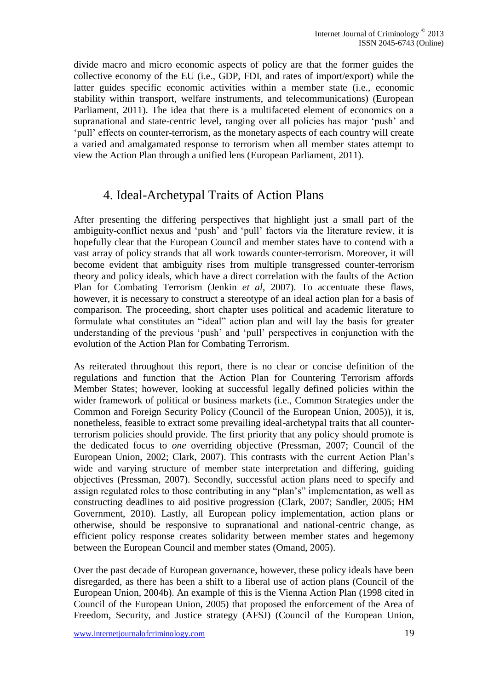divide macro and micro economic aspects of policy are that the former guides the collective economy of the EU (i.e., GDP, FDI, and rates of import/export) while the latter guides specific economic activities within a member state (i.e., economic stability within transport, welfare instruments, and telecommunications) (European Parliament, 2011). The idea that there is a multifaceted element of economics on a supranational and state-centric level, ranging over all policies has major 'push' and 'pull' effects on counter-terrorism, as the monetary aspects of each country will create a varied and amalgamated response to terrorism when all member states attempt to view the Action Plan through a unified lens (European Parliament, 2011).

## 4. Ideal-Archetypal Traits of Action Plans

After presenting the differing perspectives that highlight just a small part of the ambiguity-conflict nexus and 'push' and 'pull' factors via the literature review, it is hopefully clear that the European Council and member states have to contend with a vast array of policy strands that all work towards counter-terrorism. Moreover, it will become evident that ambiguity rises from multiple transgressed counter-terrorism theory and policy ideals, which have a direct correlation with the faults of the Action Plan for Combating Terrorism (Jenkin *et al*, 2007). To accentuate these flaws, however, it is necessary to construct a stereotype of an ideal action plan for a basis of comparison. The proceeding, short chapter uses political and academic literature to formulate what constitutes an "ideal" action plan and will lay the basis for greater understanding of the previous 'push' and 'pull' perspectives in conjunction with the evolution of the Action Plan for Combating Terrorism.

As reiterated throughout this report, there is no clear or concise definition of the regulations and function that the Action Plan for Countering Terrorism affords Member States; however, looking at successful legally defined policies within the wider framework of political or business markets (i.e., Common Strategies under the Common and Foreign Security Policy (Council of the European Union, 2005)), it is, nonetheless, feasible to extract some prevailing ideal-archetypal traits that all counterterrorism policies should provide. The first priority that any policy should promote is the dedicated focus to *one* overriding objective (Pressman, 2007; Council of the European Union, 2002; Clark, 2007). This contrasts with the current Action Plan's wide and varying structure of member state interpretation and differing, guiding objectives (Pressman, 2007). Secondly, successful action plans need to specify and assign regulated roles to those contributing in any "plan's" implementation, as well as constructing deadlines to aid positive progression (Clark, 2007; Sandler, 2005; HM Government, 2010). Lastly, all European policy implementation, action plans or otherwise, should be responsive to supranational and national-centric change, as efficient policy response creates solidarity between member states and hegemony between the European Council and member states (Omand, 2005).

Over the past decade of European governance, however, these policy ideals have been disregarded, as there has been a shift to a liberal use of action plans (Council of the European Union, 2004b). An example of this is the Vienna Action Plan (1998 cited in Council of the European Union, 2005) that proposed the enforcement of the Area of Freedom, Security, and Justice strategy (AFSJ) (Council of the European Union,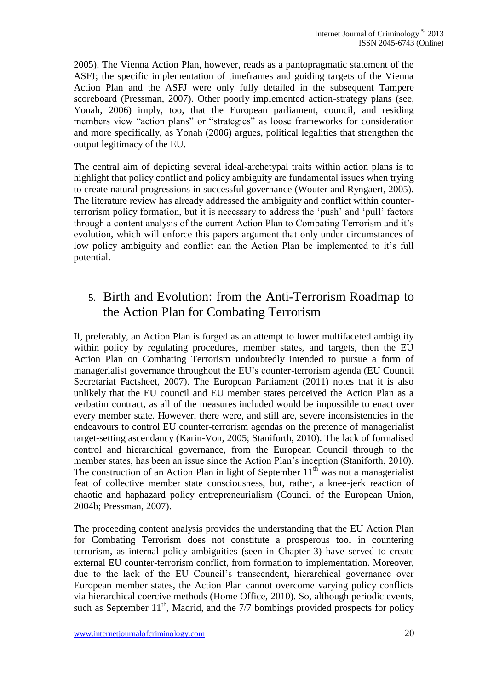2005). The Vienna Action Plan, however, reads as a pantopragmatic statement of the ASFJ; the specific implementation of timeframes and guiding targets of the Vienna Action Plan and the ASFJ were only fully detailed in the subsequent Tampere scoreboard (Pressman, 2007). Other poorly implemented action-strategy plans (see, Yonah, 2006) imply, too, that the European parliament, council, and residing members view "action plans" or "strategies" as loose frameworks for consideration and more specifically, as Yonah (2006) argues, political legalities that strengthen the output legitimacy of the EU.

The central aim of depicting several ideal-archetypal traits within action plans is to highlight that policy conflict and policy ambiguity are fundamental issues when trying to create natural progressions in successful governance (Wouter and Ryngaert, 2005). The literature review has already addressed the ambiguity and conflict within counterterrorism policy formation, but it is necessary to address the 'push' and 'pull' factors through a content analysis of the current Action Plan to Combating Terrorism and it's evolution, which will enforce this papers argument that only under circumstances of low policy ambiguity and conflict can the Action Plan be implemented to it's full potential.

## 5. Birth and Evolution: from the Anti-Terrorism Roadmap to the Action Plan for Combating Terrorism

If, preferably, an Action Plan is forged as an attempt to lower multifaceted ambiguity within policy by regulating procedures, member states, and targets, then the EU Action Plan on Combating Terrorism undoubtedly intended to pursue a form of managerialist governance throughout the EU's counter-terrorism agenda (EU Council Secretariat Factsheet, 2007). The European Parliament (2011) notes that it is also unlikely that the EU council and EU member states perceived the Action Plan as a verbatim contract, as all of the measures included would be impossible to enact over every member state. However, there were, and still are, severe inconsistencies in the endeavours to control EU counter-terrorism agendas on the pretence of managerialist target-setting ascendancy (Karin-Von, 2005; Staniforth, 2010). The lack of formalised control and hierarchical governance, from the European Council through to the member states, has been an issue since the Action Plan's inception (Staniforth, 2010). The construction of an Action Plan in light of September  $11<sup>th</sup>$  was not a managerialist feat of collective member state consciousness, but, rather, a knee-jerk reaction of chaotic and haphazard policy entrepreneurialism (Council of the European Union, 2004b; Pressman, 2007).

The proceeding content analysis provides the understanding that the EU Action Plan for Combating Terrorism does not constitute a prosperous tool in countering terrorism, as internal policy ambiguities (seen in Chapter 3) have served to create external EU counter-terrorism conflict, from formation to implementation. Moreover, due to the lack of the EU Council's transcendent, hierarchical governance over European member states, the Action Plan cannot overcome varying policy conflicts via hierarchical coercive methods (Home Office, 2010). So, although periodic events, such as September  $11<sup>th</sup>$ , Madrid, and the 7/7 bombings provided prospects for policy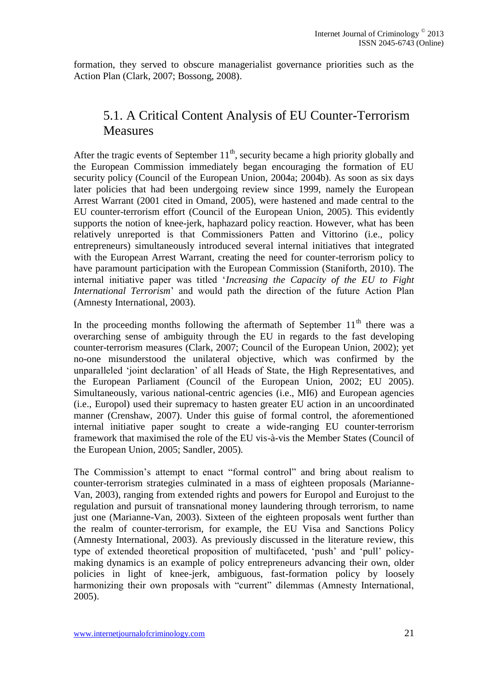formation, they served to obscure managerialist governance priorities such as the Action Plan (Clark, 2007; Bossong, 2008).

# 5.1. A Critical Content Analysis of EU Counter-Terrorism Measures

After the tragic events of September  $11<sup>th</sup>$ , security became a high priority globally and the European Commission immediately began encouraging the formation of EU security policy (Council of the European Union, 2004a; 2004b). As soon as six days later policies that had been undergoing review since 1999, namely the European Arrest Warrant (2001 cited in Omand, 2005), were hastened and made central to the EU counter-terrorism effort (Council of the European Union, 2005). This evidently supports the notion of knee-jerk, haphazard policy reaction. However, what has been relatively unreported is that Commissioners Patten and Vittorino (i.e., policy entrepreneurs) simultaneously introduced several internal initiatives that integrated with the European Arrest Warrant, creating the need for counter-terrorism policy to have paramount participation with the European Commission (Staniforth, 2010). The internal initiative paper was titled '*Increasing the Capacity of the EU to Fight International Terrorism*' and would path the direction of the future Action Plan (Amnesty International, 2003).

In the proceeding months following the aftermath of September  $11<sup>th</sup>$  there was a overarching sense of ambiguity through the EU in regards to the fast developing counter-terrorism measures (Clark, 2007; Council of the European Union, 2002); yet no-one misunderstood the unilateral objective, which was confirmed by the unparalleled 'joint declaration' of all Heads of State, the High Representatives, and the European Parliament (Council of the European Union, 2002; EU 2005). Simultaneously, various national-centric agencies (i.e., MI6) and European agencies (i.e., Europol) used their supremacy to hasten greater EU action in an uncoordinated manner (Crenshaw, 2007). Under this guise of formal control, the aforementioned internal initiative paper sought to create a wide-ranging EU counter-terrorism framework that maximised the role of the EU vis-à-vis the Member States (Council of the European Union, 2005; Sandler, 2005).

The Commission's attempt to enact "formal control" and bring about realism to counter-terrorism strategies culminated in a mass of eighteen proposals (Marianne-Van, 2003), ranging from extended rights and powers for Europol and Eurojust to the regulation and pursuit of transnational money laundering through terrorism, to name just one (Marianne-Van, 2003). Sixteen of the eighteen proposals went further than the realm of counter-terrorism, for example, the EU Visa and Sanctions Policy (Amnesty International, 2003). As previously discussed in the literature review, this type of extended theoretical proposition of multifaceted, 'push' and 'pull' policymaking dynamics is an example of policy entrepreneurs advancing their own, older policies in light of knee-jerk, ambiguous, fast-formation policy by loosely harmonizing their own proposals with "current" dilemmas (Amnesty International, 2005).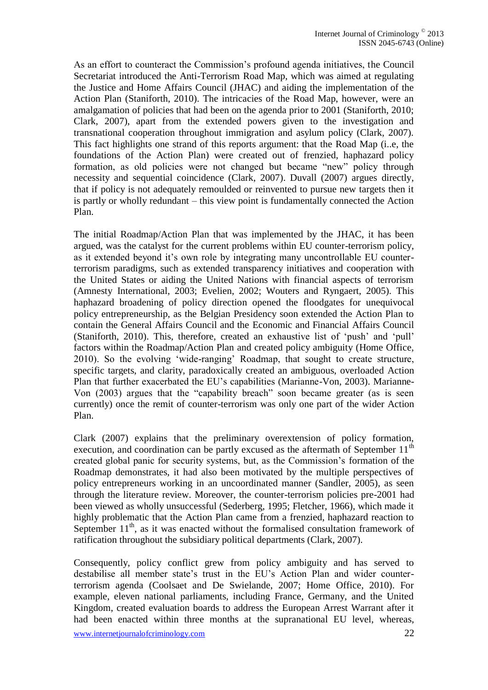As an effort to counteract the Commission's profound agenda initiatives, the Council Secretariat introduced the Anti-Terrorism Road Map, which was aimed at regulating the Justice and Home Affairs Council (JHAC) and aiding the implementation of the Action Plan (Staniforth, 2010). The intricacies of the Road Map, however, were an amalgamation of policies that had been on the agenda prior to 2001 (Staniforth, 2010; Clark, 2007), apart from the extended powers given to the investigation and transnational cooperation throughout immigration and asylum policy (Clark, 2007). This fact highlights one strand of this reports argument: that the Road Map (i..e, the foundations of the Action Plan) were created out of frenzied, haphazard policy formation, as old policies were not changed but became "new" policy through necessity and sequential coincidence (Clark, 2007). Duvall (2007) argues directly, that if policy is not adequately remoulded or reinvented to pursue new targets then it is partly or wholly redundant – this view point is fundamentally connected the Action Plan.

The initial Roadmap/Action Plan that was implemented by the JHAC, it has been argued, was the catalyst for the current problems within EU counter-terrorism policy, as it extended beyond it's own role by integrating many uncontrollable EU counterterrorism paradigms, such as extended transparency initiatives and cooperation with the United States or aiding the United Nations with financial aspects of terrorism (Amnesty International, 2003; Evelien, 2002; Wouters and Ryngaert, 2005). This haphazard broadening of policy direction opened the floodgates for unequivocal policy entrepreneurship, as the Belgian Presidency soon extended the Action Plan to contain the General Affairs Council and the Economic and Financial Affairs Council (Staniforth, 2010). This, therefore, created an exhaustive list of 'push' and 'pull' factors within the Roadmap/Action Plan and created policy ambiguity (Home Office, 2010). So the evolving 'wide-ranging' Roadmap, that sought to create structure, specific targets, and clarity, paradoxically created an ambiguous, overloaded Action Plan that further exacerbated the EU's capabilities (Marianne-Von, 2003). Marianne-Von (2003) argues that the "capability breach" soon became greater (as is seen currently) once the remit of counter-terrorism was only one part of the wider Action Plan.

Clark (2007) explains that the preliminary overextension of policy formation, execution, and coordination can be partly excused as the aftermath of September  $11<sup>th</sup>$ created global panic for security systems, but, as the Commission's formation of the Roadmap demonstrates, it had also been motivated by the multiple perspectives of policy entrepreneurs working in an uncoordinated manner (Sandler, 2005), as seen through the literature review. Moreover, the counter-terrorism policies pre-2001 had been viewed as wholly unsuccessful (Sederberg, 1995; Fletcher, 1966), which made it highly problematic that the Action Plan came from a frenzied, haphazard reaction to September  $11<sup>th</sup>$ , as it was enacted without the formalised consultation framework of ratification throughout the subsidiary political departments (Clark, 2007).

Consequently, policy conflict grew from policy ambiguity and has served to destabilise all member state's trust in the EU's Action Plan and wider counterterrorism agenda (Coolsaet and De Swielande, 2007; Home Office, 2010). For example, eleven national parliaments, including France, Germany, and the United Kingdom, created evaluation boards to address the European Arrest Warrant after it had been enacted within three months at the supranational EU level, whereas,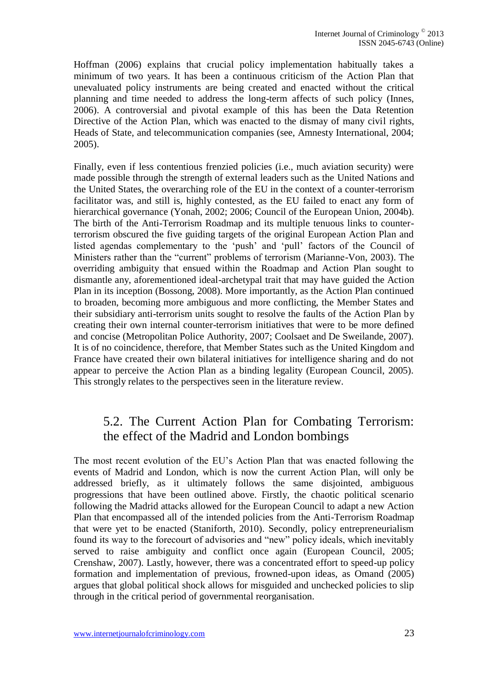Hoffman (2006) explains that crucial policy implementation habitually takes a minimum of two years. It has been a continuous criticism of the Action Plan that unevaluated policy instruments are being created and enacted without the critical planning and time needed to address the long-term affects of such policy (Innes, 2006). A controversial and pivotal example of this has been the Data Retention Directive of the Action Plan, which was enacted to the dismay of many civil rights, Heads of State, and telecommunication companies (see, Amnesty International, 2004; 2005).

Finally, even if less contentious frenzied policies (i.e., much aviation security) were made possible through the strength of external leaders such as the United Nations and the United States, the overarching role of the EU in the context of a counter-terrorism facilitator was, and still is, highly contested, as the EU failed to enact any form of hierarchical governance (Yonah, 2002; 2006; Council of the European Union, 2004b). The birth of the Anti-Terrorism Roadmap and its multiple tenuous links to counterterrorism obscured the five guiding targets of the original European Action Plan and listed agendas complementary to the 'push' and 'pull' factors of the Council of Ministers rather than the "current" problems of terrorism (Marianne-Von, 2003). The overriding ambiguity that ensued within the Roadmap and Action Plan sought to dismantle any, aforementioned ideal-archetypal trait that may have guided the Action Plan in its inception (Bossong, 2008). More importantly, as the Action Plan continued to broaden, becoming more ambiguous and more conflicting, the Member States and their subsidiary anti-terrorism units sought to resolve the faults of the Action Plan by creating their own internal counter-terrorism initiatives that were to be more defined and concise (Metropolitan Police Authority, 2007; Coolsaet and De Sweilande, 2007). It is of no coincidence, therefore, that Member States such as the United Kingdom and France have created their own bilateral initiatives for intelligence sharing and do not appear to perceive the Action Plan as a binding legality (European Council, 2005). This strongly relates to the perspectives seen in the literature review.

## 5.2. The Current Action Plan for Combating Terrorism: the effect of the Madrid and London bombings

The most recent evolution of the EU's Action Plan that was enacted following the events of Madrid and London, which is now the current Action Plan, will only be addressed briefly, as it ultimately follows the same disjointed, ambiguous progressions that have been outlined above. Firstly, the chaotic political scenario following the Madrid attacks allowed for the European Council to adapt a new Action Plan that encompassed all of the intended policies from the Anti-Terrorism Roadmap that were yet to be enacted (Staniforth, 2010). Secondly, policy entrepreneurialism found its way to the forecourt of advisories and "new" policy ideals, which inevitably served to raise ambiguity and conflict once again (European Council, 2005; Crenshaw, 2007). Lastly, however, there was a concentrated effort to speed-up policy formation and implementation of previous, frowned-upon ideas, as Omand (2005) argues that global political shock allows for misguided and unchecked policies to slip through in the critical period of governmental reorganisation.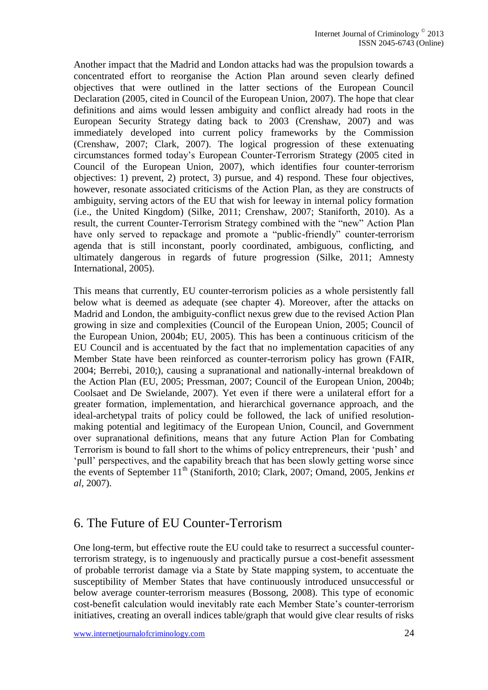Another impact that the Madrid and London attacks had was the propulsion towards a concentrated effort to reorganise the Action Plan around seven clearly defined objectives that were outlined in the latter sections of the European Council Declaration (2005, cited in Council of the European Union, 2007). The hope that clear definitions and aims would lessen ambiguity and conflict already had roots in the European Security Strategy dating back to 2003 (Crenshaw, 2007) and was immediately developed into current policy frameworks by the Commission (Crenshaw, 2007; Clark, 2007). The logical progression of these extenuating circumstances formed today's European Counter-Terrorism Strategy (2005 cited in Council of the European Union, 2007), which identifies four counter-terrorism objectives: 1) prevent, 2) protect, 3) pursue, and 4) respond. These four objectives, however, resonate associated criticisms of the Action Plan, as they are constructs of ambiguity, serving actors of the EU that wish for leeway in internal policy formation (i.e., the United Kingdom) (Silke, 2011; Crenshaw, 2007; Staniforth, 2010). As a result, the current Counter-Terrorism Strategy combined with the "new" Action Plan have only served to repackage and promote a "public-friendly" counter-terrorism agenda that is still inconstant, poorly coordinated, ambiguous, conflicting, and ultimately dangerous in regards of future progression (Silke, 2011; Amnesty International, 2005).

This means that currently, EU counter-terrorism policies as a whole persistently fall below what is deemed as adequate (see chapter 4). Moreover, after the attacks on Madrid and London, the ambiguity-conflict nexus grew due to the revised Action Plan growing in size and complexities (Council of the European Union, 2005; Council of the European Union, 2004b; EU, 2005). This has been a continuous criticism of the EU Council and is accentuated by the fact that no implementation capacities of any Member State have been reinforced as counter-terrorism policy has grown (FAIR, 2004; Berrebi, 2010;), causing a supranational and nationally-internal breakdown of the Action Plan (EU, 2005; Pressman, 2007; Council of the European Union, 2004b; Coolsaet and De Swielande, 2007). Yet even if there were a unilateral effort for a greater formation, implementation, and hierarchical governance approach, and the ideal-archetypal traits of policy could be followed, the lack of unified resolutionmaking potential and legitimacy of the European Union, Council, and Government over supranational definitions, means that any future Action Plan for Combating Terrorism is bound to fall short to the whims of policy entrepreneurs, their 'push' and 'pull' perspectives, and the capability breach that has been slowly getting worse since the events of September 11<sup>th</sup> (Staniforth, 2010; Clark, 2007; Omand, 2005, Jenkins *et al*, 2007).

# 6. The Future of EU Counter-Terrorism

One long-term, but effective route the EU could take to resurrect a successful counterterrorism strategy, is to ingenuously and practically pursue a cost-benefit assessment of probable terrorist damage via a State by State mapping system, to accentuate the susceptibility of Member States that have continuously introduced unsuccessful or below average counter-terrorism measures (Bossong, 2008). This type of economic cost-benefit calculation would inevitably rate each Member State's counter-terrorism initiatives, creating an overall indices table/graph that would give clear results of risks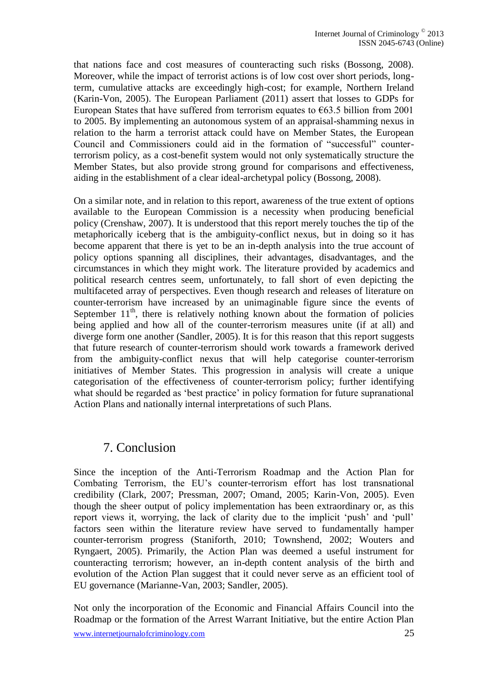that nations face and cost measures of counteracting such risks (Bossong, 2008). Moreover, while the impact of terrorist actions is of low cost over short periods, longterm, cumulative attacks are exceedingly high-cost; for example, Northern Ireland (Karin-Von, 2005). The European Parliament (2011) assert that losses to GDPs for European States that have suffered from terrorism equates to  $\epsilon$ 63.5 billion from 2001 to 2005. By implementing an autonomous system of an appraisal-shamming nexus in relation to the harm a terrorist attack could have on Member States, the European Council and Commissioners could aid in the formation of "successful" counterterrorism policy, as a cost-benefit system would not only systematically structure the Member States, but also provide strong ground for comparisons and effectiveness, aiding in the establishment of a clear ideal-archetypal policy (Bossong, 2008).

On a similar note, and in relation to this report, awareness of the true extent of options available to the European Commission is a necessity when producing beneficial policy (Crenshaw, 2007). It is understood that this report merely touches the tip of the metaphorically iceberg that is the ambiguity-conflict nexus, but in doing so it has become apparent that there is yet to be an in-depth analysis into the true account of policy options spanning all disciplines, their advantages, disadvantages, and the circumstances in which they might work. The literature provided by academics and political research centres seem, unfortunately, to fall short of even depicting the multifaceted array of perspectives. Even though research and releases of literature on counter-terrorism have increased by an unimaginable figure since the events of September  $11<sup>th</sup>$ , there is relatively nothing known about the formation of policies being applied and how all of the counter-terrorism measures unite (if at all) and diverge form one another (Sandler, 2005). It is for this reason that this report suggests that future research of counter-terrorism should work towards a framework derived from the ambiguity-conflict nexus that will help categorise counter-terrorism initiatives of Member States. This progression in analysis will create a unique categorisation of the effectiveness of counter-terrorism policy; further identifying what should be regarded as 'best practice' in policy formation for future supranational Action Plans and nationally internal interpretations of such Plans.

#### 7. Conclusion

Since the inception of the Anti-Terrorism Roadmap and the Action Plan for Combating Terrorism, the EU's counter-terrorism effort has lost transnational credibility (Clark, 2007; Pressman, 2007; Omand, 2005; Karin-Von, 2005). Even though the sheer output of policy implementation has been extraordinary or, as this report views it, worrying, the lack of clarity due to the implicit 'push' and 'pull' factors seen within the literature review have served to fundamentally hamper counter-terrorism progress (Staniforth, 2010; Townshend, 2002; Wouters and Ryngaert, 2005). Primarily, the Action Plan was deemed a useful instrument for counteracting terrorism; however, an in-depth content analysis of the birth and evolution of the Action Plan suggest that it could never serve as an efficient tool of EU governance (Marianne-Van, 2003; Sandler, 2005).

Not only the incorporation of the Economic and Financial Affairs Council into the Roadmap or the formation of the Arrest Warrant Initiative, but the entire Action Plan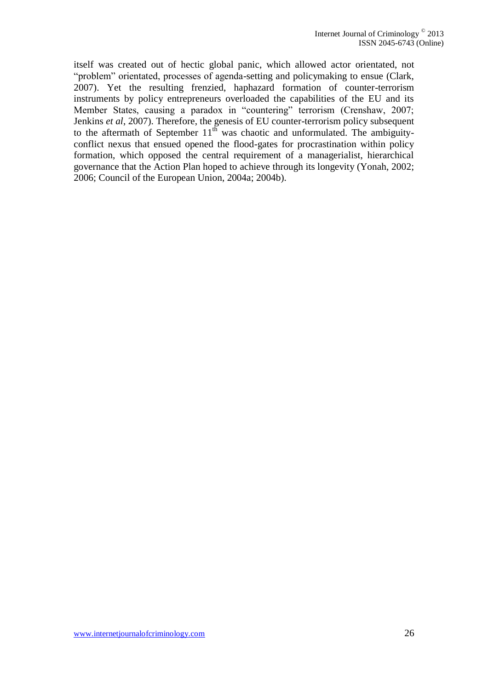itself was created out of hectic global panic, which allowed actor orientated, not "problem" orientated, processes of agenda-setting and policymaking to ensue (Clark, 2007). Yet the resulting frenzied, haphazard formation of counter-terrorism instruments by policy entrepreneurs overloaded the capabilities of the EU and its Member States, causing a paradox in "countering" terrorism (Crenshaw, 2007; Jenkins *et al*, 2007). Therefore, the genesis of EU counter-terrorism policy subsequent to the aftermath of September  $11^{th}$  was chaotic and unformulated. The ambiguityconflict nexus that ensued opened the flood-gates for procrastination within policy formation, which opposed the central requirement of a managerialist, hierarchical governance that the Action Plan hoped to achieve through its longevity (Yonah, 2002; 2006; Council of the European Union, 2004a; 2004b).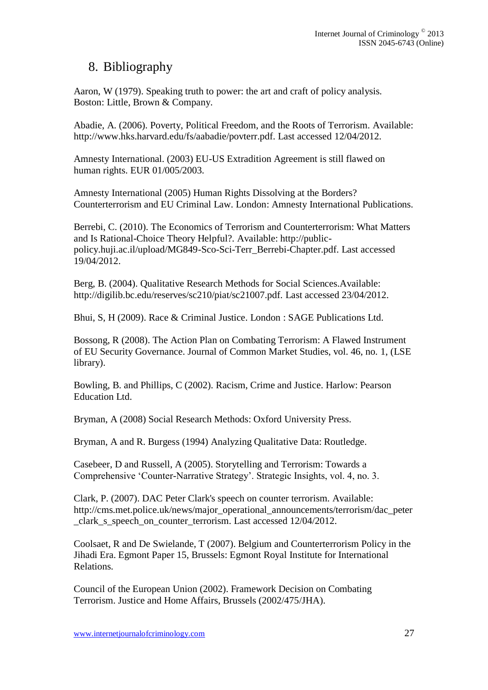## 8. Bibliography

Aaron, W (1979). Speaking truth to power: the art and craft of policy analysis. Boston: Little, Brown & Company.

Abadie, A. (2006). Poverty, Political Freedom, and the Roots of Terrorism. Available: http://www.hks.harvard.edu/fs/aabadie/povterr.pdf. Last accessed 12/04/2012.

Amnesty International. (2003) EU-US Extradition Agreement is still flawed on human rights. EUR 01/005/2003.

Amnesty International (2005) Human Rights Dissolving at the Borders? Counterterrorism and EU Criminal Law. London: Amnesty International Publications.

Berrebi, C. (2010). The Economics of Terrorism and Counterterrorism: What Matters and Is Rational-Choice Theory Helpful?. Available: http://publicpolicy.huji.ac.il/upload/MG849-Sco-Sci-Terr\_Berrebi-Chapter.pdf. Last accessed 19/04/2012.

Berg, B. (2004). Qualitative Research Methods for Social Sciences.Available: http://digilib.bc.edu/reserves/sc210/piat/sc21007.pdf. Last accessed 23/04/2012.

Bhui, S, H (2009). Race & Criminal Justice. London : SAGE Publications Ltd.

Bossong, R (2008). The Action Plan on Combating Terrorism: A Flawed Instrument of EU Security Governance. Journal of Common Market Studies, vol. 46, no. 1, (LSE library).

Bowling, B. and Phillips, C (2002). Racism, Crime and Justice. Harlow: Pearson Education Ltd.

Bryman, A (2008) Social Research Methods: Oxford University Press.

Bryman, A and R. Burgess (1994) Analyzing Qualitative Data: Routledge.

Casebeer, D and Russell, A (2005). Storytelling and Terrorism: Towards a Comprehensive 'Counter-Narrative Strategy'. Strategic Insights, vol. 4, no. 3.

Clark, P. (2007). DAC Peter Clark's speech on counter terrorism. Available: http://cms.met.police.uk/news/major\_operational\_announcements/terrorism/dac\_peter \_clark\_s\_speech\_on\_counter\_terrorism. Last accessed 12/04/2012.

Coolsaet, R and De Swielande, T (2007). Belgium and Counterterrorism Policy in the Jihadi Era. Egmont Paper 15, Brussels: Egmont Royal Institute for International Relations.

Council of the European Union (2002). Framework Decision on Combating Terrorism. Justice and Home Affairs, Brussels (2002/475/JHA).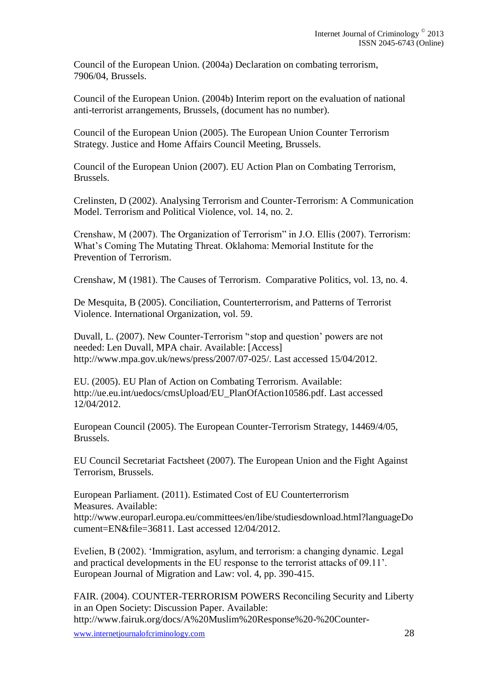Council of the European Union. (2004a) Declaration on combating terrorism, 7906/04, Brussels.

Council of the European Union. (2004b) Interim report on the evaluation of national anti-terrorist arrangements, Brussels, (document has no number).

Council of the European Union (2005). The European Union Counter Terrorism Strategy. Justice and Home Affairs Council Meeting, Brussels.

Council of the European Union (2007). EU Action Plan on Combating Terrorism, Brussels.

Crelinsten, D (2002). Analysing Terrorism and Counter-Terrorism: A Communication Model. Terrorism and Political Violence, vol. 14, no. 2.

Crenshaw, M (2007). The Organization of Terrorism" in J.O. Ellis (2007). Terrorism: What's Coming The Mutating Threat. Oklahoma: Memorial Institute for the Prevention of Terrorism.

Crenshaw, M (1981). The Causes of Terrorism. Comparative Politics, vol. 13, no. 4.

De Mesquita, B (2005). Conciliation, Counterterrorism, and Patterns of Terrorist Violence. International Organization, vol. 59.

Duvall, L. (2007). New Counter-Terrorism ''stop and question' powers are not needed: Len Duvall, MPA chair. Available: [Access] http://www.mpa.gov.uk/news/press/2007/07-025/. Last accessed 15/04/2012.

EU. (2005). EU Plan of Action on Combating Terrorism. Available: http://ue.eu.int/uedocs/cmsUpload/EU\_PlanOfAction10586.pdf. Last accessed 12/04/2012.

European Council (2005). The European Counter-Terrorism Strategy, 14469/4/05, Brussels.

EU Council Secretariat Factsheet (2007). The European Union and the Fight Against Terrorism, Brussels.

European Parliament. (2011). Estimated Cost of EU Counterterrorism Measures. Available:

http://www.europarl.europa.eu/committees/en/libe/studiesdownload.html?languageDo cument=EN&file=36811. Last accessed 12/04/2012.

Evelien, B (2002). 'Immigration, asylum, and terrorism: a changing dynamic. Legal and practical developments in the EU response to the terrorist attacks of 09.11'. European Journal of Migration and Law: vol. 4, pp. 390-415.

FAIR. (2004). COUNTER-TERRORISM POWERS Reconciling Security and Liberty in an Open Society: Discussion Paper. Available: http://www.fairuk.org/docs/A%20Muslim%20Response%20-%20Counter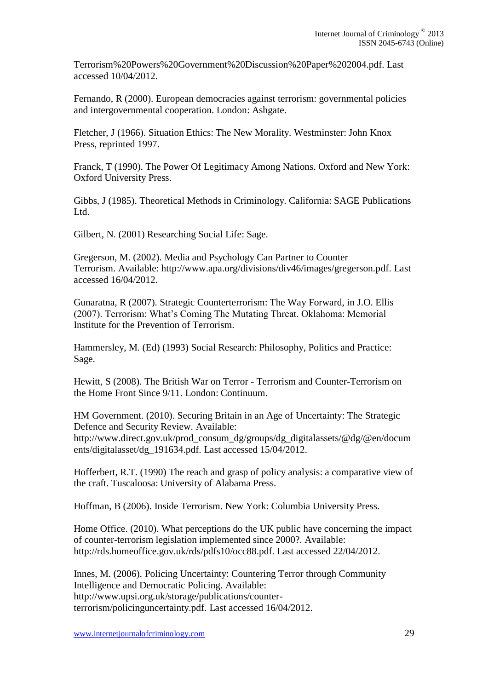Terrorism%20Powers%20Government%20Discussion%20Paper%202004.pdf. Last accessed 10/04/2012.

Fernando, R (2000). European democracies against terrorism: governmental policies and intergovernmental cooperation. London: Ashgate.

Fletcher, J (1966). Situation Ethics: The New Morality. Westminster: John Knox Press, reprinted 1997.

Franck, T (1990). The Power Of Legitimacy Among Nations. Oxford and New York: Oxford University Press.

Gibbs, J (1985). Theoretical Methods in Criminology. California: SAGE Publications Ltd.

Gilbert, N. (2001) Researching Social Life: Sage.

Gregerson, M. (2002). Media and Psychology Can Partner to Counter Terrorism. Available: http://www.apa.org/divisions/div46/images/gregerson.pdf. Last accessed 16/04/2012.

Gunaratna, R (2007). Strategic Counterterrorism: The Way Forward, in J.O. Ellis (2007). Terrorism: What's Coming The Mutating Threat. Oklahoma: Memorial Institute for the Prevention of Terrorism.

Hammersley, M. (Ed) (1993) Social Research: Philosophy, Politics and Practice: Sage.

Hewitt, S (2008). The British War on Terror - Terrorism and Counter-Terrorism on the Home Front Since 9/11. London: Continuum.

HM Government. (2010). Securing Britain in an Age of Uncertainty: The Strategic Defence and Security Review. Available: http://www.direct.gov.uk/prod\_consum\_dg/groups/dg\_digitalassets/@dg/@en/docum ents/digitalasset/dg\_191634.pdf. Last accessed 15/04/2012.

Hofferbert, R.T. (1990) The reach and grasp of policy analysis: a comparative view of the craft. Tuscaloosa: University of Alabama Press.

Hoffman, B (2006). Inside Terrorism. New York: Columbia University Press.

Home Office. (2010). What perceptions do the UK public have concerning the impact of counter-terrorism legislation implemented since 2000?. Available: http://rds.homeoffice.gov.uk/rds/pdfs10/occ88.pdf. Last accessed 22/04/2012.

Innes, M. (2006). Policing Uncertainty: Countering Terror through Community Intelligence and Democratic Policing. Available: http://www.upsi.org.uk/storage/publications/counterterrorism/policinguncertainty.pdf. Last accessed 16/04/2012.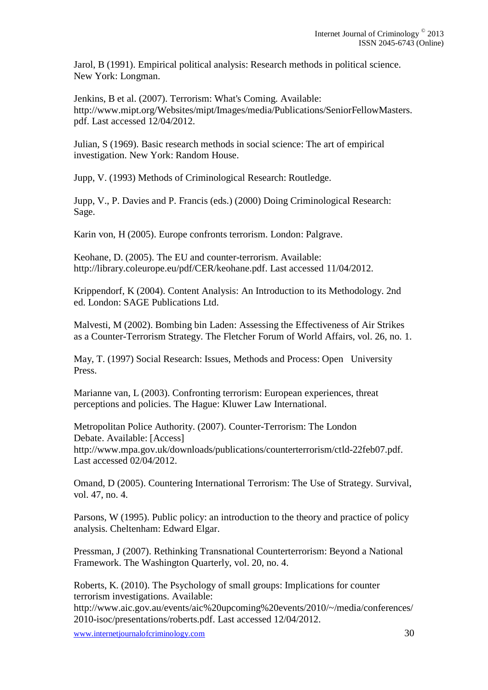Jarol, B (1991). Empirical political analysis: Research methods in political science. New York: Longman.

Jenkins, B et al. (2007). Terrorism: What's Coming. Available: http://www.mipt.org/Websites/mipt/Images/media/Publications/SeniorFellowMasters. pdf. Last accessed 12/04/2012.

Julian, S (1969). Basic research methods in social science: The art of empirical investigation. New York: Random House.

Jupp, V. (1993) Methods of Criminological Research: Routledge.

Jupp, V., P. Davies and P. Francis (eds.) (2000) Doing Criminological Research: Sage.

Karin von, H (2005). Europe confronts terrorism. London: Palgrave.

Keohane, D. (2005). The EU and counter-terrorism. Available: http://library.coleurope.eu/pdf/CER/keohane.pdf. Last accessed 11/04/2012.

Krippendorf, K (2004). Content Analysis: An Introduction to its Methodology. 2nd ed. London: SAGE Publications Ltd.

Malvesti, M (2002). Bombing bin Laden: Assessing the Effectiveness of Air Strikes as a Counter-Terrorism Strategy. The Fletcher Forum of World Affairs, vol. 26, no. 1.

May, T. (1997) Social Research: Issues, Methods and Process: Open University Press.

Marianne van, L (2003). Confronting terrorism: European experiences, threat perceptions and policies. The Hague: Kluwer Law International.

Metropolitan Police Authority. (2007). Counter-Terrorism: The London Debate. Available: [Access] http://www.mpa.gov.uk/downloads/publications/counterterrorism/ctld-22feb07.pdf. Last accessed 02/04/2012.

Omand, D (2005). Countering International Terrorism: The Use of Strategy. Survival, vol. 47, no. 4.

Parsons, W (1995). Public policy: an introduction to the theory and practice of policy analysis. Cheltenham: Edward Elgar.

Pressman, J (2007). Rethinking Transnational Counterterrorism: Beyond a National Framework. The Washington Quarterly, vol. 20, no. 4.

Roberts, K. (2010). The Psychology of small groups: Implications for counter terrorism investigations. Available:

http://www.aic.gov.au/events/aic%20upcoming%20events/2010/~/media/conferences/ 2010-isoc/presentations/roberts.pdf. Last accessed 12/04/2012.

www.internetjournalofcriminology.com 30